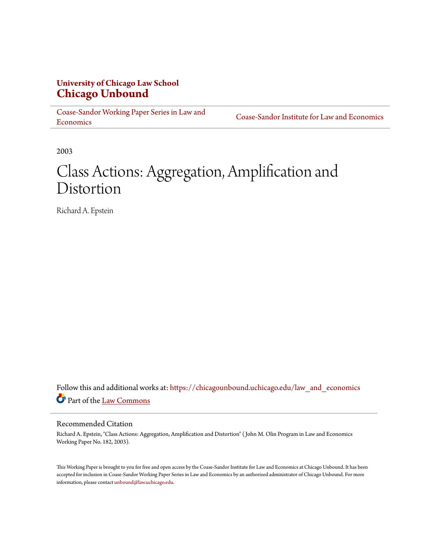### **University of Chicago Law School [Chicago Unbound](https://chicagounbound.uchicago.edu?utm_source=chicagounbound.uchicago.edu%2Flaw_and_economics%2F104&utm_medium=PDF&utm_campaign=PDFCoverPages)**

[Coase-Sandor Working Paper Series in Law and](https://chicagounbound.uchicago.edu/law_and_economics?utm_source=chicagounbound.uchicago.edu%2Flaw_and_economics%2F104&utm_medium=PDF&utm_campaign=PDFCoverPages) [Economics](https://chicagounbound.uchicago.edu/law_and_economics?utm_source=chicagounbound.uchicago.edu%2Flaw_and_economics%2F104&utm_medium=PDF&utm_campaign=PDFCoverPages)

[Coase-Sandor Institute for Law and Economics](https://chicagounbound.uchicago.edu/coase_sandor_institute?utm_source=chicagounbound.uchicago.edu%2Flaw_and_economics%2F104&utm_medium=PDF&utm_campaign=PDFCoverPages)

2003

# Class Actions: Aggregation, Amplification and Distortion

Richard A. Epstein

Follow this and additional works at: [https://chicagounbound.uchicago.edu/law\\_and\\_economics](https://chicagounbound.uchicago.edu/law_and_economics?utm_source=chicagounbound.uchicago.edu%2Flaw_and_economics%2F104&utm_medium=PDF&utm_campaign=PDFCoverPages) Part of the [Law Commons](http://network.bepress.com/hgg/discipline/578?utm_source=chicagounbound.uchicago.edu%2Flaw_and_economics%2F104&utm_medium=PDF&utm_campaign=PDFCoverPages)

#### Recommended Citation

Richard A. Epstein, "Class Actions: Aggregation, Amplification and Distortion" ( John M. Olin Program in Law and Economics Working Paper No. 182, 2003).

This Working Paper is brought to you for free and open access by the Coase-Sandor Institute for Law and Economics at Chicago Unbound. It has been accepted for inclusion in Coase-Sandor Working Paper Series in Law and Economics by an authorized administrator of Chicago Unbound. For more information, please contact [unbound@law.uchicago.edu.](mailto:unbound@law.uchicago.edu)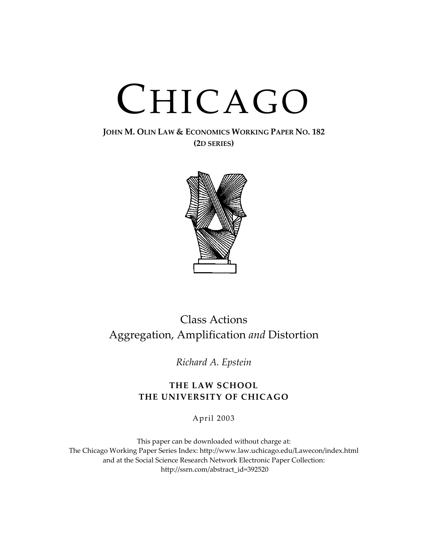# CHICAGO

#### **JOHN M. OLIN LAW & ECONOMICS WORKING PAPER NO. 182 (2D SERIES)**



## Class Actions Aggregation, Amplification and Distortion

*Richard A. Epstein*

#### **THE LAW SCHOOL THE UNIVERSITY OF CHICAGO**

April 2003

This paper can be downloaded without charge at: The Chicago Working Paper Series Index: http://www.law.uchicago.edu/Lawecon/index.html and at the Social Science Research Network Electronic Paper Collection: http://ssrn.c[om/abstract\\_id=392520](http://www.law.uchicago.edu/Publications/Working/index.html)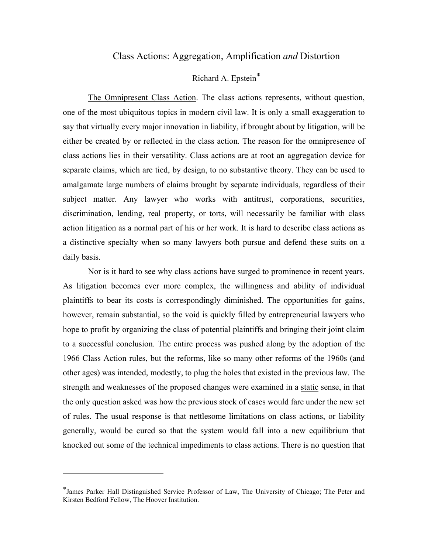#### Class Actions: Aggregation, Amplification *and* Distortion

#### Richard A. Epstei[n\\*](#page-2-0)

The Omnipresent Class Action. The class actions represents, without question, one of the most ubiquitous topics in modern civil law. It is only a small exaggeration to say that virtually every major innovation in liability, if brought about by litigation, will be either be created by or reflected in the class action. The reason for the omnipresence of class actions lies in their versatility. Class actions are at root an aggregation device for separate claims, which are tied, by design, to no substantive theory. They can be used to amalgamate large numbers of claims brought by separate individuals, regardless of their subject matter. Any lawyer who works with antitrust, corporations, securities, discrimination, lending, real property, or torts, will necessarily be familiar with class action litigation as a normal part of his or her work. It is hard to describe class actions as a distinctive specialty when so many lawyers both pursue and defend these suits on a daily basis.

Nor is it hard to see why class actions have surged to prominence in recent years. As litigation becomes ever more complex, the willingness and ability of individual plaintiffs to bear its costs is correspondingly diminished. The opportunities for gains, however, remain substantial, so the void is quickly filled by entrepreneurial lawyers who hope to profit by organizing the class of potential plaintiffs and bringing their joint claim to a successful conclusion. The entire process was pushed along by the adoption of the 1966 Class Action rules, but the reforms, like so many other reforms of the 1960s (and other ages) was intended, modestly, to plug the holes that existed in the previous law. The strength and weaknesses of the proposed changes were examined in a static sense, in that the only question asked was how the previous stock of cases would fare under the new set of rules. The usual response is that nettlesome limitations on class actions, or liability generally, would be cured so that the system would fall into a new equilibrium that knocked out some of the technical impediments to class actions. There is no question that

<span id="page-2-0"></span><sup>\*</sup>James Parker Hall Distinguished Service Professor of Law, The University of Chicago; The Peter and Kirsten Bedford Fellow, The Hoover Institution.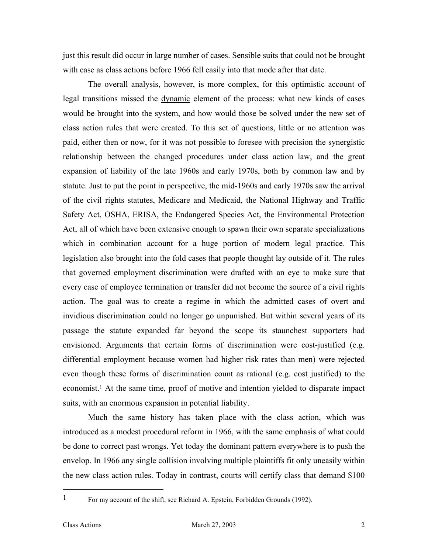just this result did occur in large number of cases. Sensible suits that could not be brought with ease as class actions before 1966 fell easily into that mode after that date.

The overall analysis, however, is more complex, for this optimistic account of legal transitions missed the dynamic element of the process: what new kinds of cases would be brought into the system, and how would those be solved under the new set of class action rules that were created. To this set of questions, little or no attention was paid, either then or now, for it was not possible to foresee with precision the synergistic relationship between the changed procedures under class action law, and the great expansion of liability of the late 1960s and early 1970s, both by common law and by statute. Just to put the point in perspective, the mid-1960s and early 1970s saw the arrival of the civil rights statutes, Medicare and Medicaid, the National Highway and Traffic Safety Act, OSHA, ERISA, the Endangered Species Act, the Environmental Protection Act, all of which have been extensive enough to spawn their own separate specializations which in combination account for a huge portion of modern legal practice. This legislation also brought into the fold cases that people thought lay outside of it. The rules that governed employment discrimination were drafted with an eye to make sure that every case of employee termination or transfer did not become the source of a civil rights action. The goal was to create a regime in which the admitted cases of overt and invidious discrimination could no longer go unpunished. But within several years of its passage the statute expanded far beyond the scope its staunchest supporters had envisioned. Arguments that certain forms of discrimination were cost-justified (e.g. differential employment because women had higher risk rates than men) were rejected even though these forms of discrimination count as rational (e.g. cost justified) to the economist.[1](#page-3-0) At the same time, proof of motive and intention yielded to disparate impact suits, with an enormous expansion in potential liability.

Much the same history has taken place with the class action, which was introduced as a modest procedural reform in 1966, with the same emphasis of what could be done to correct past wrongs. Yet today the dominant pattern everywhere is to push the envelop. In 1966 any single collision involving multiple plaintiffs fit only uneasily within the new class action rules. Today in contrast, courts will certify class that demand \$100

<span id="page-3-0"></span><sup>1</sup> For my account of the shift, see Richard A. Epstein, Forbidden Grounds (1992).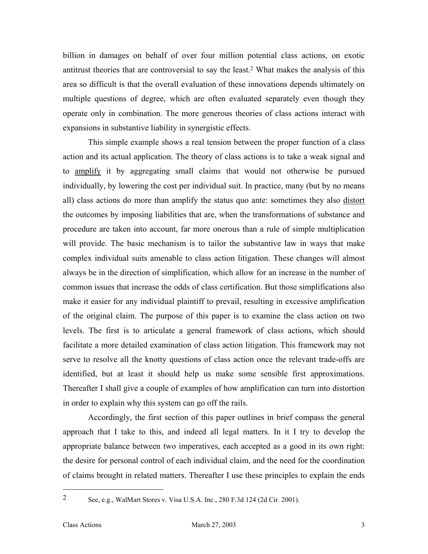billion in damages on behalf of over four million potential class actions, on exotic antitrust theories that are controversial to say the least[.2](#page-4-0) What makes the analysis of this area so difficult is that the overall evaluation of these innovations depends ultimately on multiple questions of degree, which are often evaluated separately even though they operate only in combination. The more generous theories of class actions interact with expansions in substantive liability in synergistic effects.

This simple example shows a real tension between the proper function of a class action and its actual application. The theory of class actions is to take a weak signal and to amplify it by aggregating small claims that would not otherwise be pursued individually, by lowering the cost per individual suit. In practice, many (but by no means all) class actions do more than amplify the status quo ante: sometimes they also distort the outcomes by imposing liabilities that are, when the transformations of substance and procedure are taken into account, far more onerous than a rule of simple multiplication will provide. The basic mechanism is to tailor the substantive law in ways that make complex individual suits amenable to class action litigation. These changes will almost always be in the direction of simplification, which allow for an increase in the number of common issues that increase the odds of class certification. But those simplifications also make it easier for any individual plaintiff to prevail, resulting in excessive amplification of the original claim. The purpose of this paper is to examine the class action on two levels. The first is to articulate a general framework of class actions, which should facilitate a more detailed examination of class action litigation. This framework may not serve to resolve all the knotty questions of class action once the relevant trade-offs are identified, but at least it should help us make some sensible first approximations. Thereafter I shall give a couple of examples of how amplification can turn into distortion in order to explain why this system can go off the rails.

Accordingly, the first section of this paper outlines in brief compass the general approach that I take to this, and indeed all legal matters. In it I try to develop the appropriate balance between two imperatives, each accepted as a good in its own right: the desire for personal control of each individual claim, and the need for the coordination of claims brought in related matters. Thereafter I use these principles to explain the ends

<span id="page-4-0"></span><sup>2</sup> See, e.g., WalMart Stores v. Visa U.S.A. Inc., 280 F.3d 124 (2d Cir. 2001).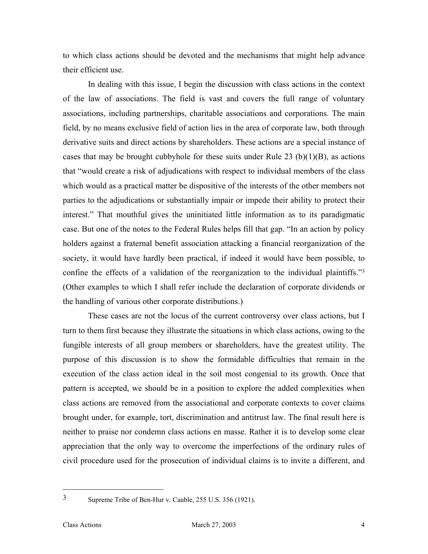to which class actions should be devoted and the mechanisms that might help advance their efficient use.

In dealing with this issue, I begin the discussion with class actions in the context of the law of associations. The field is vast and covers the full range of voluntary associations, including partnerships, charitable associations and corporations. The main field, by no means exclusive field of action lies in the area of corporate law, both through derivative suits and direct actions by shareholders. These actions are a special instance of cases that may be brought cubbyhole for these suits under Rule 23  $(b)(1)(B)$ , as actions that "would create a risk of adjudications with respect to individual members of the class which would as a practical matter be dispositive of the interests of the other members not parties to the adjudications or substantially impair or impede their ability to protect their interest." That mouthful gives the uninitiated little information as to its paradigmatic case. But one of the notes to the Federal Rules helps fill that gap. "In an action by policy holders against a fraternal benefit association attacking a financial reorganization of the society, it would have hardly been practical, if indeed it would have been possible, to confine the effects of a validation of the reorganization to the individual plaintiffs.["3](#page-5-0) (Other examples to which I shall refer include the declaration of corporate dividends or the handling of various other corporate distributions.)

These cases are not the locus of the current controversy over class actions, but I turn to them first because they illustrate the situations in which class actions, owing to the fungible interests of all group members or shareholders, have the greatest utility. The purpose of this discussion is to show the formidable difficulties that remain in the execution of the class action ideal in the soil most congenial to its growth. Once that pattern is accepted, we should be in a position to explore the added complexities when class actions are removed from the associational and corporate contexts to cover claims brought under, for example, tort, discrimination and antitrust law. The final result here is neither to praise nor condemn class actions en masse. Rather it is to develop some clear appreciation that the only way to overcome the imperfections of the ordinary rules of civil procedure used for the prosecution of individual claims is to invite a different, and

<span id="page-5-0"></span><sup>3</sup> Supreme Tribe of Ben-Hur v. Cauble, 255 U.S. 356 (1921).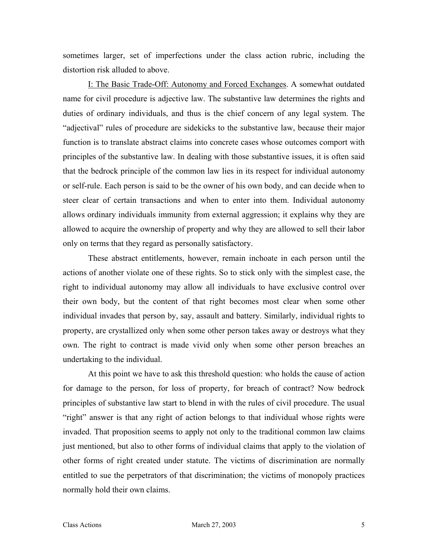sometimes larger, set of imperfections under the class action rubric, including the distortion risk alluded to above.

I: The Basic Trade-Off: Autonomy and Forced Exchanges. A somewhat outdated name for civil procedure is adjective law. The substantive law determines the rights and duties of ordinary individuals, and thus is the chief concern of any legal system. The "adjectival" rules of procedure are sidekicks to the substantive law, because their major function is to translate abstract claims into concrete cases whose outcomes comport with principles of the substantive law. In dealing with those substantive issues, it is often said that the bedrock principle of the common law lies in its respect for individual autonomy or self-rule. Each person is said to be the owner of his own body, and can decide when to steer clear of certain transactions and when to enter into them. Individual autonomy allows ordinary individuals immunity from external aggression; it explains why they are allowed to acquire the ownership of property and why they are allowed to sell their labor only on terms that they regard as personally satisfactory.

These abstract entitlements, however, remain inchoate in each person until the actions of another violate one of these rights. So to stick only with the simplest case, the right to individual autonomy may allow all individuals to have exclusive control over their own body, but the content of that right becomes most clear when some other individual invades that person by, say, assault and battery. Similarly, individual rights to property, are crystallized only when some other person takes away or destroys what they own. The right to contract is made vivid only when some other person breaches an undertaking to the individual.

At this point we have to ask this threshold question: who holds the cause of action for damage to the person, for loss of property, for breach of contract? Now bedrock principles of substantive law start to blend in with the rules of civil procedure. The usual "right" answer is that any right of action belongs to that individual whose rights were invaded. That proposition seems to apply not only to the traditional common law claims just mentioned, but also to other forms of individual claims that apply to the violation of other forms of right created under statute. The victims of discrimination are normally entitled to sue the perpetrators of that discrimination; the victims of monopoly practices normally hold their own claims.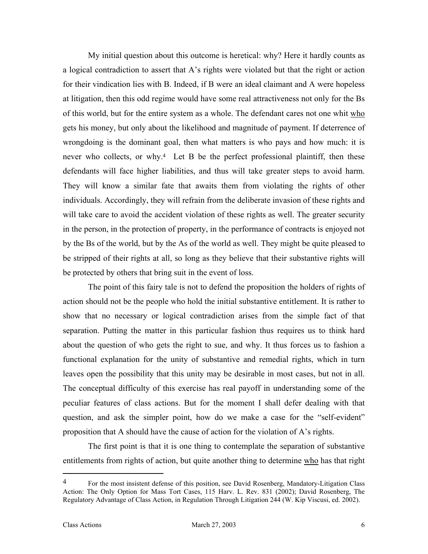My initial question about this outcome is heretical: why? Here it hardly counts as a logical contradiction to assert that A's rights were violated but that the right or action for their vindication lies with B. Indeed, if B were an ideal claimant and A were hopeless at litigation, then this odd regime would have some real attractiveness not only for the Bs of this world, but for the entire system as a whole. The defendant cares not one whit who gets his money, but only about the likelihood and magnitude of payment. If deterrence of wrongdoing is the dominant goal, then what matters is who pays and how much: it is never who collects, or why.<sup>4</sup> Let B be the perfect professional plaintiff, then these defendants will face higher liabilities, and thus will take greater steps to avoid harm. They will know a similar fate that awaits them from violating the rights of other individuals. Accordingly, they will refrain from the deliberate invasion of these rights and will take care to avoid the accident violation of these rights as well. The greater security in the person, in the protection of property, in the performance of contracts is enjoyed not by the Bs of the world, but by the As of the world as well. They might be quite pleased to be stripped of their rights at all, so long as they believe that their substantive rights will be protected by others that bring suit in the event of loss.

The point of this fairy tale is not to defend the proposition the holders of rights of action should not be the people who hold the initial substantive entitlement. It is rather to show that no necessary or logical contradiction arises from the simple fact of that separation. Putting the matter in this particular fashion thus requires us to think hard about the question of who gets the right to sue, and why. It thus forces us to fashion a functional explanation for the unity of substantive and remedial rights, which in turn leaves open the possibility that this unity may be desirable in most cases, but not in all. The conceptual difficulty of this exercise has real payoff in understanding some of the peculiar features of class actions. But for the moment I shall defer dealing with that question, and ask the simpler point, how do we make a case for the "self-evident" proposition that A should have the cause of action for the violation of A's rights.

The first point is that it is one thing to contemplate the separation of substantive entitlements from rights of action, but quite another thing to determine who has that right

<span id="page-7-0"></span><sup>&</sup>lt;sup>4</sup> For the most insistent defense of this position, see David Rosenberg, Mandatory-Litigation Class Action: The Only Option for Mass Tort Cases, 115 Harv. L. Rev. 831 (2002); David Rosenberg, The Regulatory Advantage of Class Action, in Regulation Through Litigation 244 (W. Kip Viscusi, ed. 2002).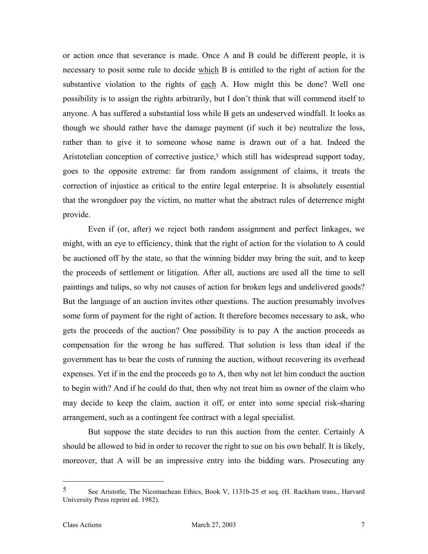or action once that severance is made. Once A and B could be different people, it is necessary to posit some rule to decide which B is entitled to the right of action for the substantive violation to the rights of each A. How might this be done? Well one possibility is to assign the rights arbitrarily, but I don't think that will commend itself to anyone. A has suffered a substantial loss while B gets an undeserved windfall. It looks as though we should rather have the damage payment (if such it be) neutralize the loss, rather than to give it to someone whose name is drawn out of a hat. Indeed the Aristotelian conception of corrective justice,<sup>5</sup> which still has widespread support today, goes to the opposite extreme: far from random assignment of claims, it treats the correction of injustice as critical to the entire legal enterprise. It is absolutely essential that the wrongdoer pay the victim, no matter what the abstract rules of deterrence might provide.

Even if (or, after) we reject both random assignment and perfect linkages, we might, with an eye to efficiency, think that the right of action for the violation to A could be auctioned off by the state, so that the winning bidder may bring the suit, and to keep the proceeds of settlement or litigation. After all, auctions are used all the time to sell paintings and tulips, so why not causes of action for broken legs and undelivered goods? But the language of an auction invites other questions. The auction presumably involves some form of payment for the right of action. It therefore becomes necessary to ask, who gets the proceeds of the auction? One possibility is to pay A the auction proceeds as compensation for the wrong he has suffered. That solution is less than ideal if the government has to bear the costs of running the auction, without recovering its overhead expenses. Yet if in the end the proceeds go to A, then why not let him conduct the auction to begin with? And if he could do that, then why not treat him as owner of the claim who may decide to keep the claim, auction it off, or enter into some special risk-sharing arrangement, such as a contingent fee contract with a legal specialist.

But suppose the state decides to run this auction from the center. Certainly A should be allowed to bid in order to recover the right to sue on his own behalf. It is likely, moreover, that A will be an impressive entry into the bidding wars. Prosecuting any

<span id="page-8-0"></span><sup>5</sup> See Aristotle, The Nicomachean Ethics, Book V, 1131b-25 et seq. (H. Rackham trans., Harvard University Press reprint ed. 1982).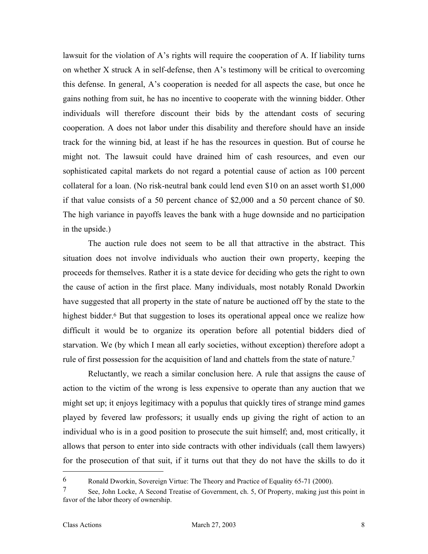lawsuit for the violation of A's rights will require the cooperation of A. If liability turns on whether X struck A in self-defense, then A's testimony will be critical to overcoming this defense. In general, A's cooperation is needed for all aspects the case, but once he gains nothing from suit, he has no incentive to cooperate with the winning bidder. Other individuals will therefore discount their bids by the attendant costs of securing cooperation. A does not labor under this disability and therefore should have an inside track for the winning bid, at least if he has the resources in question. But of course he might not. The lawsuit could have drained him of cash resources, and even our sophisticated capital markets do not regard a potential cause of action as 100 percent collateral for a loan. (No risk-neutral bank could lend even \$10 on an asset worth \$1,000 if that value consists of a 50 percent chance of \$2,000 and a 50 percent chance of \$0. The high variance in payoffs leaves the bank with a huge downside and no participation in the upside.)

The auction rule does not seem to be all that attractive in the abstract. This situation does not involve individuals who auction their own property, keeping the proceeds for themselves. Rather it is a state device for deciding who gets the right to own the cause of action in the first place. Many individuals, most notably Ronald Dworkin have suggested that all property in the state of nature be auctioned off by the state to the highest bidder.<sup>6</sup> But that suggestion to loses its operational appeal once we realize how difficult it would be to organize its operation before all potential bidders died of starvation. We (by which I mean all early societies, without exception) therefore adopt a rule of first possession for the acquisition of land and chattels from the state of nature[.7](#page-9-1) 

Reluctantly, we reach a similar conclusion here. A rule that assigns the cause of action to the victim of the wrong is less expensive to operate than any auction that we might set up; it enjoys legitimacy with a populus that quickly tires of strange mind games played by fevered law professors; it usually ends up giving the right of action to an individual who is in a good position to prosecute the suit himself; and, most critically, it allows that person to enter into side contracts with other individuals (call them lawyers) for the prosecution of that suit, if it turns out that they do not have the skills to do it

<span id="page-9-0"></span><sup>6</sup> Ronald Dworkin, Sovereign Virtue: The Theory and Practice of Equality 65-71 (2000).

<span id="page-9-1"></span><sup>7</sup> See, John Locke, A Second Treatise of Government, ch. 5, Of Property, making just this point in favor of the labor theory of ownership.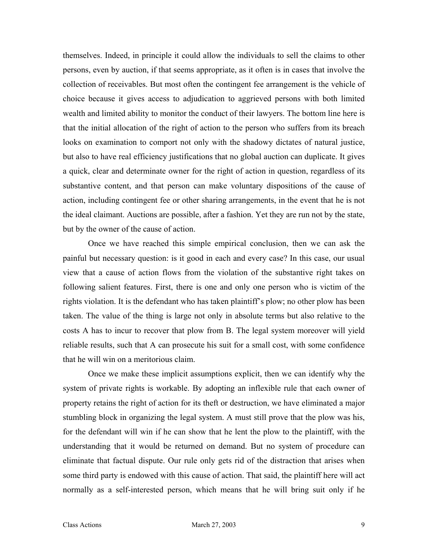themselves. Indeed, in principle it could allow the individuals to sell the claims to other persons, even by auction, if that seems appropriate, as it often is in cases that involve the collection of receivables. But most often the contingent fee arrangement is the vehicle of choice because it gives access to adjudication to aggrieved persons with both limited wealth and limited ability to monitor the conduct of their lawyers. The bottom line here is that the initial allocation of the right of action to the person who suffers from its breach looks on examination to comport not only with the shadowy dictates of natural justice, but also to have real efficiency justifications that no global auction can duplicate. It gives a quick, clear and determinate owner for the right of action in question, regardless of its substantive content, and that person can make voluntary dispositions of the cause of action, including contingent fee or other sharing arrangements, in the event that he is not the ideal claimant. Auctions are possible, after a fashion. Yet they are run not by the state, but by the owner of the cause of action.

Once we have reached this simple empirical conclusion, then we can ask the painful but necessary question: is it good in each and every case? In this case, our usual view that a cause of action flows from the violation of the substantive right takes on following salient features. First, there is one and only one person who is victim of the rights violation. It is the defendant who has taken plaintiff's plow; no other plow has been taken. The value of the thing is large not only in absolute terms but also relative to the costs A has to incur to recover that plow from B. The legal system moreover will yield reliable results, such that A can prosecute his suit for a small cost, with some confidence that he will win on a meritorious claim.

Once we make these implicit assumptions explicit, then we can identify why the system of private rights is workable. By adopting an inflexible rule that each owner of property retains the right of action for its theft or destruction, we have eliminated a major stumbling block in organizing the legal system. A must still prove that the plow was his, for the defendant will win if he can show that he lent the plow to the plaintiff, with the understanding that it would be returned on demand. But no system of procedure can eliminate that factual dispute. Our rule only gets rid of the distraction that arises when some third party is endowed with this cause of action. That said, the plaintiff here will act normally as a self-interested person, which means that he will bring suit only if he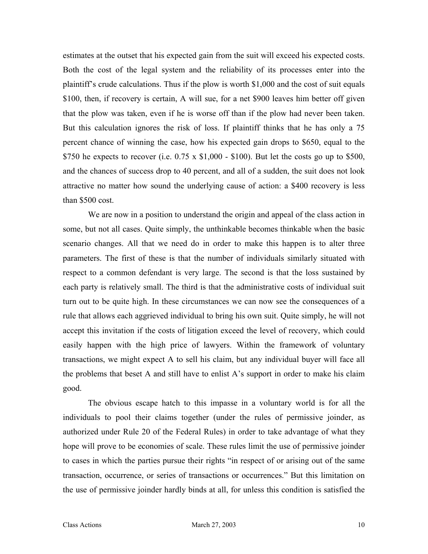estimates at the outset that his expected gain from the suit will exceed his expected costs. Both the cost of the legal system and the reliability of its processes enter into the plaintiff's crude calculations. Thus if the plow is worth \$1,000 and the cost of suit equals \$100, then, if recovery is certain, A will sue, for a net \$900 leaves him better off given that the plow was taken, even if he is worse off than if the plow had never been taken. But this calculation ignores the risk of loss. If plaintiff thinks that he has only a 75 percent chance of winning the case, how his expected gain drops to \$650, equal to the \$750 he expects to recover (i.e.  $0.75 \times$  \$1,000 - \$100). But let the costs go up to \$500, and the chances of success drop to 40 percent, and all of a sudden, the suit does not look attractive no matter how sound the underlying cause of action: a \$400 recovery is less than \$500 cost.

We are now in a position to understand the origin and appeal of the class action in some, but not all cases. Quite simply, the unthinkable becomes thinkable when the basic scenario changes. All that we need do in order to make this happen is to alter three parameters. The first of these is that the number of individuals similarly situated with respect to a common defendant is very large. The second is that the loss sustained by each party is relatively small. The third is that the administrative costs of individual suit turn out to be quite high. In these circumstances we can now see the consequences of a rule that allows each aggrieved individual to bring his own suit. Quite simply, he will not accept this invitation if the costs of litigation exceed the level of recovery, which could easily happen with the high price of lawyers. Within the framework of voluntary transactions, we might expect A to sell his claim, but any individual buyer will face all the problems that beset A and still have to enlist A's support in order to make his claim good.

The obvious escape hatch to this impasse in a voluntary world is for all the individuals to pool their claims together (under the rules of permissive joinder, as authorized under Rule 20 of the Federal Rules) in order to take advantage of what they hope will prove to be economies of scale. These rules limit the use of permissive joinder to cases in which the parties pursue their rights "in respect of or arising out of the same transaction, occurrence, or series of transactions or occurrences." But this limitation on the use of permissive joinder hardly binds at all, for unless this condition is satisfied the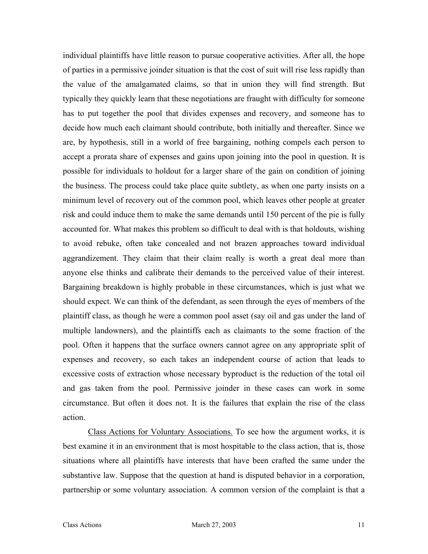individual plaintiffs have little reason to pursue cooperative activities. After all, the hope of parties in a permissive joinder situation is that the cost of suit will rise less rapidly than the value of the amalgamated claims, so that in union they will find strength. But typically they quickly learn that these negotiations are fraught with difficulty for someone has to put together the pool that divides expenses and recovery, and someone has to decide how much each claimant should contribute, both initially and thereafter. Since we are, by hypothesis, still in a world of free bargaining, nothing compels each person to accept a prorata share of expenses and gains upon joining into the pool in question. It is possible for individuals to holdout for a larger share of the gain on condition of joining the business. The process could take place quite subtlety, as when one party insists on a minimum level of recovery out of the common pool, which leaves other people at greater risk and could induce them to make the same demands until 150 percent of the pie is fully accounted for. What makes this problem so difficult to deal with is that holdouts, wishing to avoid rebuke, often take concealed and not brazen approaches toward individual aggrandizement. They claim that their claim really is worth a great deal more than anyone else thinks and calibrate their demands to the perceived value of their interest. Bargaining breakdown is highly probable in these circumstances, which is just what we should expect. We can think of the defendant, as seen through the eyes of members of the plaintiff class, as though he were a common pool asset (say oil and gas under the land of multiple landowners), and the plaintiffs each as claimants to the some fraction of the pool. Often it happens that the surface owners cannot agree on any appropriate split of expenses and recovery, so each takes an independent course of action that leads to excessive costs of extraction whose necessary byproduct is the reduction of the total oil and gas taken from the pool. Permissive joinder in these cases can work in some circumstance. But often it does not. It is the failures that explain the rise of the class action.

Class Actions for Voluntary Associations. To see how the argument works, it is best examine it in an environment that is most hospitable to the class action, that is, those situations where all plaintiffs have interests that have been crafted the same under the substantive law. Suppose that the question at hand is disputed behavior in a corporation, partnership or some voluntary association. A common version of the complaint is that a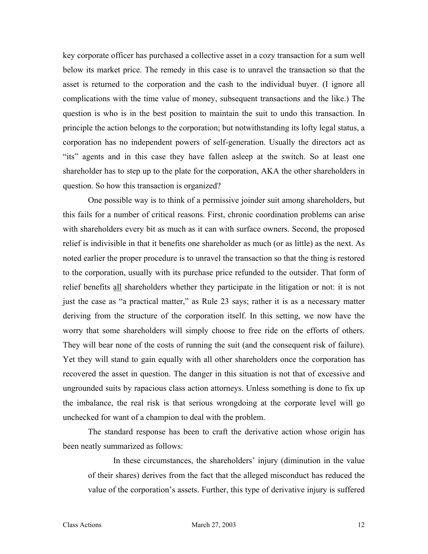key corporate officer has purchased a collective asset in a cozy transaction for a sum well below its market price. The remedy in this case is to unravel the transaction so that the asset is returned to the corporation and the cash to the individual buyer. (I ignore all complications with the time value of money, subsequent transactions and the like.) The question is who is in the best position to maintain the suit to undo this transaction. In principle the action belongs to the corporation; but notwithstanding its lofty legal status, a corporation has no independent powers of self-generation. Usually the directors act as "its" agents and in this case they have fallen asleep at the switch. So at least one shareholder has to step up to the plate for the corporation, AKA the other shareholders in question. So how this transaction is organized?

One possible way is to think of a permissive joinder suit among shareholders, but this fails for a number of critical reasons. First, chronic coordination problems can arise with shareholders every bit as much as it can with surface owners. Second, the proposed relief is indivisible in that it benefits one shareholder as much (or as little) as the next. As noted earlier the proper procedure is to unravel the transaction so that the thing is restored to the corporation, usually with its purchase price refunded to the outsider. That form of relief benefits all shareholders whether they participate in the litigation or not: it is not just the case as "a practical matter," as Rule 23 says; rather it is as a necessary matter deriving from the structure of the corporation itself. In this setting, we now have the worry that some shareholders will simply choose to free ride on the efforts of others. They will bear none of the costs of running the suit (and the consequent risk of failure). Yet they will stand to gain equally with all other shareholders once the corporation has recovered the asset in question. The danger in this situation is not that of excessive and ungrounded suits by rapacious class action attorneys. Unless something is done to fix up the imbalance, the real risk is that serious wrongdoing at the corporate level will go unchecked for want of a champion to deal with the problem.

The standard response has been to craft the derivative action whose origin has been neatly summarized as follows:

In these circumstances, the shareholders' injury (diminution in the value of their shares) derives from the fact that the alleged misconduct has reduced the value of the corporation's assets. Further, this type of derivative injury is suffered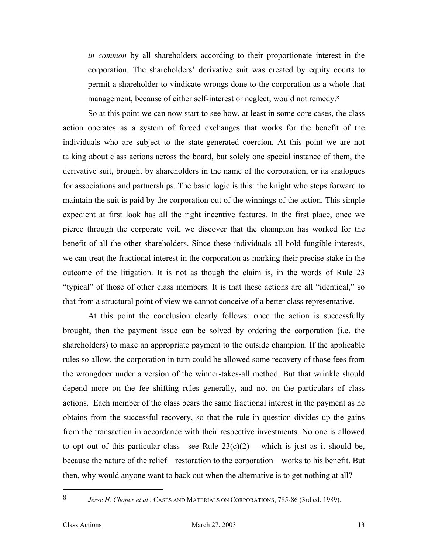*in common* by all shareholders according to their proportionate interest in the corporation. The shareholders' derivative suit was created by equity courts to permit a shareholder to vindicate wrongs done to the corporation as a whole that management, because of either self-interest or neglect, would not remedy.<sup>[8](#page-14-0)</sup>

So at this point we can now start to see how, at least in some core cases, the class action operates as a system of forced exchanges that works for the benefit of the individuals who are subject to the state-generated coercion. At this point we are not talking about class actions across the board, but solely one special instance of them, the derivative suit, brought by shareholders in the name of the corporation, or its analogues for associations and partnerships. The basic logic is this: the knight who steps forward to maintain the suit is paid by the corporation out of the winnings of the action. This simple expedient at first look has all the right incentive features. In the first place, once we pierce through the corporate veil, we discover that the champion has worked for the benefit of all the other shareholders. Since these individuals all hold fungible interests, we can treat the fractional interest in the corporation as marking their precise stake in the outcome of the litigation. It is not as though the claim is, in the words of Rule 23 "typical" of those of other class members. It is that these actions are all "identical," so that from a structural point of view we cannot conceive of a better class representative.

At this point the conclusion clearly follows: once the action is successfully brought, then the payment issue can be solved by ordering the corporation (i.e. the shareholders) to make an appropriate payment to the outside champion. If the applicable rules so allow, the corporation in turn could be allowed some recovery of those fees from the wrongdoer under a version of the winner-takes-all method. But that wrinkle should depend more on the fee shifting rules generally, and not on the particulars of class actions. Each member of the class bears the same fractional interest in the payment as he obtains from the successful recovery, so that the rule in question divides up the gains from the transaction in accordance with their respective investments. No one is allowed to opt out of this particular class—see Rule  $23(c)(2)$ — which is just as it should be, because the nature of the relief—restoration to the corporation—works to his benefit. But then, why would anyone want to back out when the alternative is to get nothing at all?

<span id="page-14-0"></span><sup>8</sup> *Jesse H. Choper et al*., CASES AND MATERIALS ON CORPORATIONS, 785-86 (3rd ed. 1989).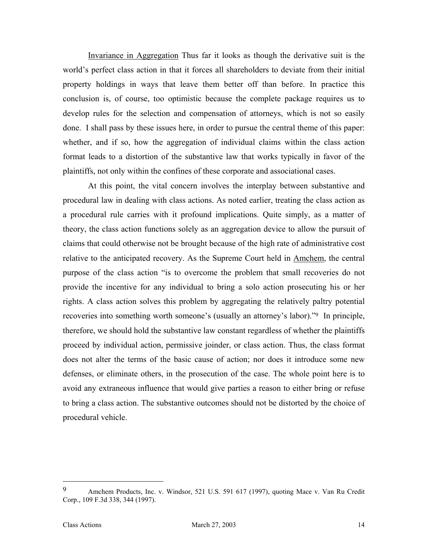Invariance in Aggregation Thus far it looks as though the derivative suit is the world's perfect class action in that it forces all shareholders to deviate from their initial property holdings in ways that leave them better off than before. In practice this conclusion is, of course, too optimistic because the complete package requires us to develop rules for the selection and compensation of attorneys, which is not so easily done. I shall pass by these issues here, in order to pursue the central theme of this paper: whether, and if so, how the aggregation of individual claims within the class action format leads to a distortion of the substantive law that works typically in favor of the plaintiffs, not only within the confines of these corporate and associational cases.

At this point, the vital concern involves the interplay between substantive and procedural law in dealing with class actions. As noted earlier, treating the class action as a procedural rule carries with it profound implications. Quite simply, as a matter of theory, the class action functions solely as an aggregation device to allow the pursuit of claims that could otherwise not be brought because of the high rate of administrative cost relative to the anticipated recovery. As the Supreme Court held in Amchem, the central purpose of the class action "is to overcome the problem that small recoveries do not provide the incentive for any individual to bring a solo action prosecuting his or her rights. A class action solves this problem by aggregating the relatively paltry potential recoveries into something worth someone's (usually an attorney's labor)."[9](#page-15-0) In principle, therefore, we should hold the substantive law constant regardless of whether the plaintiffs proceed by individual action, permissive joinder, or class action. Thus, the class format does not alter the terms of the basic cause of action; nor does it introduce some new defenses, or eliminate others, in the prosecution of the case. The whole point here is to avoid any extraneous influence that would give parties a reason to either bring or refuse to bring a class action. The substantive outcomes should not be distorted by the choice of procedural vehicle.

<span id="page-15-0"></span><sup>9</sup> Amchem Products, Inc. v. Windsor, 521 U.S. 591 617 (1997), quoting Mace v. Van Ru Credit Corp., 109 F.3d 338, 344 (1997).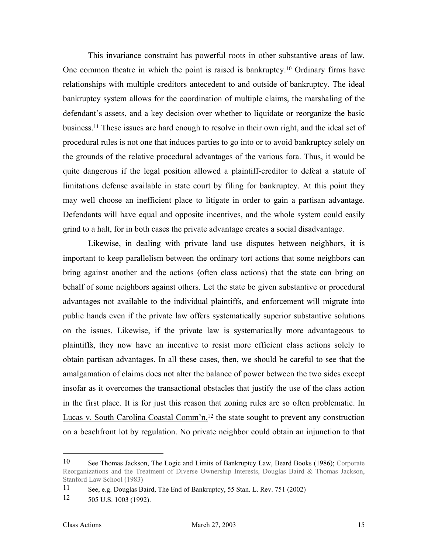This invariance constraint has powerful roots in other substantive areas of law. One common theatre in which the point is raised is bankruptcy.[10](#page-16-0) Ordinary firms have relationships with multiple creditors antecedent to and outside of bankruptcy. The ideal bankruptcy system allows for the coordination of multiple claims, the marshaling of the defendant's assets, and a key decision over whether to liquidate or reorganize the basic business.[11 T](#page-16-1)hese issues are hard enough to resolve in their own right, and the ideal set of procedural rules is not one that induces parties to go into or to avoid bankruptcy solely on the grounds of the relative procedural advantages of the various fora. Thus, it would be quite dangerous if the legal position allowed a plaintiff-creditor to defeat a statute of limitations defense available in state court by filing for bankruptcy. At this point they may well choose an inefficient place to litigate in order to gain a partisan advantage. Defendants will have equal and opposite incentives, and the whole system could easily grind to a halt, for in both cases the private advantage creates a social disadvantage.

Likewise, in dealing with private land use disputes between neighbors, it is important to keep parallelism between the ordinary tort actions that some neighbors can bring against another and the actions (often class actions) that the state can bring on behalf of some neighbors against others. Let the state be given substantive or procedural advantages not available to the individual plaintiffs, and enforcement will migrate into public hands even if the private law offers systematically superior substantive solutions on the issues. Likewise, if the private law is systematically more advantageous to plaintiffs, they now have an incentive to resist more efficient class actions solely to obtain partisan advantages. In all these cases, then, we should be careful to see that the amalgamation of claims does not alter the balance of power between the two sides except insofar as it overcomes the transactional obstacles that justify the use of the class action in the first place. It is for just this reason that zoning rules are so often problematic. In Lucas v. South Carolina Coastal Comm'n,<sup>12</sup> the state sought to prevent any construction on a beachfront lot by regulation. No private neighbor could obtain an injunction to that

<span id="page-16-0"></span><sup>10</sup> See Thomas Jackson, The Logic and Limits of Bankruptcy Law, Beard Books (1986); Corporate Reorganizations and the Treatment of Diverse Ownership Interests, Douglas Baird & Thomas Jackson, Stanford Law School (1983)

<span id="page-16-1"></span><sup>11</sup> See, e.g. Douglas Baird, The End of Bankruptcy, 55 Stan. L. Rev. 751 (2002)

<span id="page-16-2"></span><sup>12</sup> 505 U.S. 1003 (1992).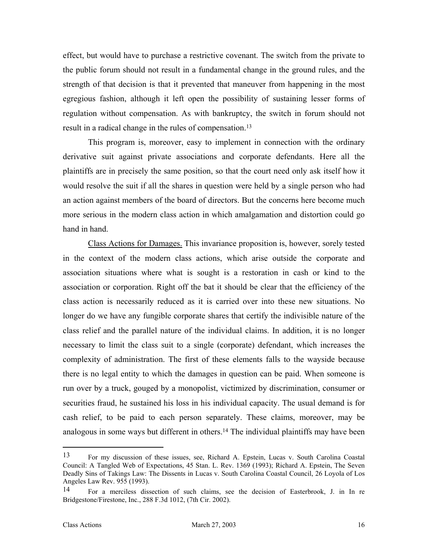effect, but would have to purchase a restrictive covenant. The switch from the private to the public forum should not result in a fundamental change in the ground rules, and the strength of that decision is that it prevented that maneuver from happening in the most egregious fashion, although it left open the possibility of sustaining lesser forms of regulation without compensation. As with bankruptcy, the switch in forum should not result in a radical change in the rules of compensation[.13](#page-17-0)

This program is, moreover, easy to implement in connection with the ordinary derivative suit against private associations and corporate defendants. Here all the plaintiffs are in precisely the same position, so that the court need only ask itself how it would resolve the suit if all the shares in question were held by a single person who had an action against members of the board of directors. But the concerns here become much more serious in the modern class action in which amalgamation and distortion could go hand in hand.

Class Actions for Damages. This invariance proposition is, however, sorely tested in the context of the modern class actions, which arise outside the corporate and association situations where what is sought is a restoration in cash or kind to the association or corporation. Right off the bat it should be clear that the efficiency of the class action is necessarily reduced as it is carried over into these new situations. No longer do we have any fungible corporate shares that certify the indivisible nature of the class relief and the parallel nature of the individual claims. In addition, it is no longer necessary to limit the class suit to a single (corporate) defendant, which increases the complexity of administration. The first of these elements falls to the wayside because there is no legal entity to which the damages in question can be paid. When someone is run over by a truck, gouged by a monopolist, victimized by discrimination, consumer or securities fraud, he sustained his loss in his individual capacity. The usual demand is for cash relief, to be paid to each person separately. These claims, moreover, may be analogous in some ways but different in others.[14 T](#page-17-1)he individual plaintiffs may have been

<span id="page-17-0"></span><sup>13</sup> For my discussion of these issues, see, Richard A. Epstein, Lucas v. South Carolina Coastal Council: A Tangled Web of Expectations, 45 Stan. L. Rev. 1369 (1993); Richard A. Epstein, The Seven Deadly Sins of Takings Law: The Dissents in Lucas v. South Carolina Coastal Council, 26 Loyola of Los Angeles Law Rev. 955 (1993).

<span id="page-17-1"></span><sup>14</sup> For a merciless dissection of such claims, see the decision of Easterbrook, J. in In re Bridgestone/Firestone, Inc., 288 F.3d 1012, (7th Cir. 2002).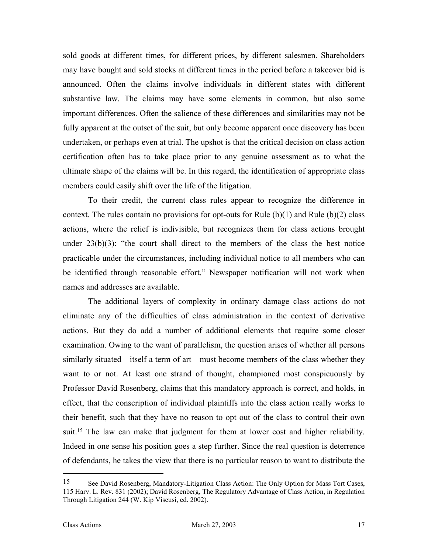sold goods at different times, for different prices, by different salesmen. Shareholders may have bought and sold stocks at different times in the period before a takeover bid is announced. Often the claims involve individuals in different states with different substantive law. The claims may have some elements in common, but also some important differences. Often the salience of these differences and similarities may not be fully apparent at the outset of the suit, but only become apparent once discovery has been undertaken, or perhaps even at trial. The upshot is that the critical decision on class action certification often has to take place prior to any genuine assessment as to what the ultimate shape of the claims will be. In this regard, the identification of appropriate class members could easily shift over the life of the litigation.

To their credit, the current class rules appear to recognize the difference in context. The rules contain no provisions for opt-outs for Rule  $(b)(1)$  and Rule  $(b)(2)$  class actions, where the relief is indivisible, but recognizes them for class actions brought under  $23(b)(3)$ : "the court shall direct to the members of the class the best notice practicable under the circumstances, including individual notice to all members who can be identified through reasonable effort." Newspaper notification will not work when names and addresses are available.

The additional layers of complexity in ordinary damage class actions do not eliminate any of the difficulties of class administration in the context of derivative actions. But they do add a number of additional elements that require some closer examination. Owing to the want of parallelism, the question arises of whether all persons similarly situated—itself a term of art—must become members of the class whether they want to or not. At least one strand of thought, championed most conspicuously by Professor David Rosenberg, claims that this mandatory approach is correct, and holds, in effect, that the conscription of individual plaintiffs into the class action really works to their benefit, such that they have no reason to opt out of the class to control their own suit[.15](#page-18-0) The law can make that judgment for them at lower cost and higher reliability. Indeed in one sense his position goes a step further. Since the real question is deterrence of defendants, he takes the view that there is no particular reason to want to distribute the

<span id="page-18-0"></span><sup>15</sup> See David Rosenberg, Mandatory-Litigation Class Action: The Only Option for Mass Tort Cases, 115 Harv. L. Rev. 831 (2002); David Rosenberg, The Regulatory Advantage of Class Action, in Regulation Through Litigation 244 (W. Kip Viscusi, ed. 2002).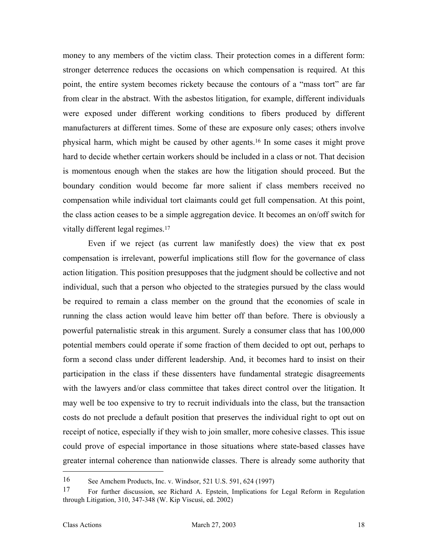money to any members of the victim class. Their protection comes in a different form: stronger deterrence reduces the occasions on which compensation is required. At this point, the entire system becomes rickety because the contours of a "mass tort" are far from clear in the abstract. With the asbestos litigation, for example, different individuals were exposed under different working conditions to fibers produced by different manufacturers at different times. Some of these are exposure only cases; others involve physical harm, which might be caused by other agents.[16](#page-19-0) In some cases it might prove hard to decide whether certain workers should be included in a class or not. That decision is momentous enough when the stakes are how the litigation should proceed. But the boundary condition would become far more salient if class members received no compensation while individual tort claimants could get full compensation. At this point, the class action ceases to be a simple aggregation device. It becomes an on/off switch for vitally different legal regimes.[17](#page-19-1) 

Even if we reject (as current law manifestly does) the view that ex post compensation is irrelevant, powerful implications still flow for the governance of class action litigation. This position presupposes that the judgment should be collective and not individual, such that a person who objected to the strategies pursued by the class would be required to remain a class member on the ground that the economies of scale in running the class action would leave him better off than before. There is obviously a powerful paternalistic streak in this argument. Surely a consumer class that has 100,000 potential members could operate if some fraction of them decided to opt out, perhaps to form a second class under different leadership. And, it becomes hard to insist on their participation in the class if these dissenters have fundamental strategic disagreements with the lawyers and/or class committee that takes direct control over the litigation. It may well be too expensive to try to recruit individuals into the class, but the transaction costs do not preclude a default position that preserves the individual right to opt out on receipt of notice, especially if they wish to join smaller, more cohesive classes. This issue could prove of especial importance in those situations where state-based classes have greater internal coherence than nationwide classes. There is already some authority that

<span id="page-19-0"></span><sup>16</sup> See Amchem Products, Inc. v. Windsor, 521 U.S. 591, 624 (1997)

<span id="page-19-1"></span><sup>17</sup> For further discussion, see Richard A. Epstein, Implications for Legal Reform in Regulation through Litigation, 310, 347-348 (W. Kip Viscusi, ed. 2002)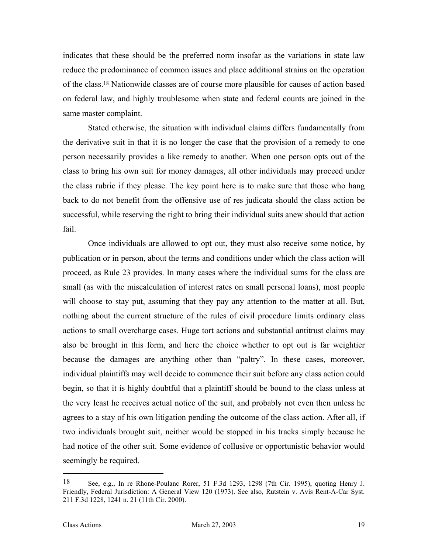indicates that these should be the preferred norm insofar as the variations in state law reduce the predominance of common issues and place additional strains on the operation of the class.[18](#page-20-0) Nationwide classes are of course more plausible for causes of action based on federal law, and highly troublesome when state and federal counts are joined in the same master complaint.

Stated otherwise, the situation with individual claims differs fundamentally from the derivative suit in that it is no longer the case that the provision of a remedy to one person necessarily provides a like remedy to another. When one person opts out of the class to bring his own suit for money damages, all other individuals may proceed under the class rubric if they please. The key point here is to make sure that those who hang back to do not benefit from the offensive use of res judicata should the class action be successful, while reserving the right to bring their individual suits anew should that action fail.

Once individuals are allowed to opt out, they must also receive some notice, by publication or in person, about the terms and conditions under which the class action will proceed, as Rule 23 provides. In many cases where the individual sums for the class are small (as with the miscalculation of interest rates on small personal loans), most people will choose to stay put, assuming that they pay any attention to the matter at all. But, nothing about the current structure of the rules of civil procedure limits ordinary class actions to small overcharge cases. Huge tort actions and substantial antitrust claims may also be brought in this form, and here the choice whether to opt out is far weightier because the damages are anything other than "paltry". In these cases, moreover, individual plaintiffs may well decide to commence their suit before any class action could begin, so that it is highly doubtful that a plaintiff should be bound to the class unless at the very least he receives actual notice of the suit, and probably not even then unless he agrees to a stay of his own litigation pending the outcome of the class action. After all, if two individuals brought suit, neither would be stopped in his tracks simply because he had notice of the other suit. Some evidence of collusive or opportunistic behavior would seemingly be required.

<span id="page-20-0"></span><sup>18</sup> See, e.g., In re Rhone-Poulanc Rorer, 51 F.3d 1293, 1298 (7th Cir. 1995), quoting Henry J. Friendly, Federal Jurisdiction: A General View 120 (1973). See also, Rutstein v. Avis Rent-A-Car Syst. 211 F.3d 1228, 1241 n. 21 (11th Cir. 2000).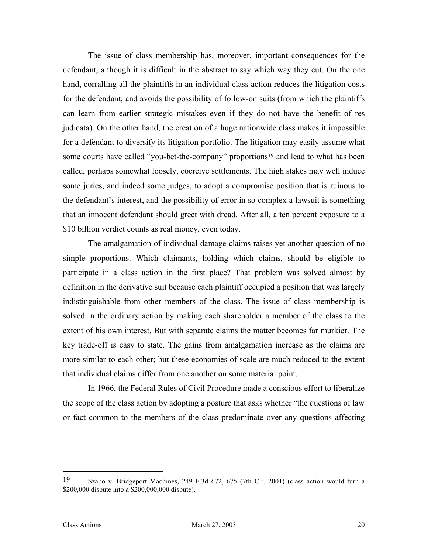The issue of class membership has, moreover, important consequences for the defendant, although it is difficult in the abstract to say which way they cut. On the one hand, corralling all the plaintiffs in an individual class action reduces the litigation costs for the defendant, and avoids the possibility of follow-on suits (from which the plaintiffs can learn from earlier strategic mistakes even if they do not have the benefit of res judicata). On the other hand, the creation of a huge nationwide class makes it impossible for a defendant to diversify its litigation portfolio. The litigation may easily assume what some courts have called "you-bet-the-company" proportions<sup>19</sup> and lead to what has been called, perhaps somewhat loosely, coercive settlements. The high stakes may well induce some juries, and indeed some judges, to adopt a compromise position that is ruinous to the defendant's interest, and the possibility of error in so complex a lawsuit is something that an innocent defendant should greet with dread. After all, a ten percent exposure to a \$10 billion verdict counts as real money, even today.

The amalgamation of individual damage claims raises yet another question of no simple proportions. Which claimants, holding which claims, should be eligible to participate in a class action in the first place? That problem was solved almost by definition in the derivative suit because each plaintiff occupied a position that was largely indistinguishable from other members of the class. The issue of class membership is solved in the ordinary action by making each shareholder a member of the class to the extent of his own interest. But with separate claims the matter becomes far murkier. The key trade-off is easy to state. The gains from amalgamation increase as the claims are more similar to each other; but these economies of scale are much reduced to the extent that individual claims differ from one another on some material point.

In 1966, the Federal Rules of Civil Procedure made a conscious effort to liberalize the scope of the class action by adopting a posture that asks whether "the questions of law or fact common to the members of the class predominate over any questions affecting

<span id="page-21-0"></span><sup>19</sup> Szabo v. Bridgeport Machines, 249 F.3d 672, 675 (7th Cir. 2001) (class action would turn a \$200,000 dispute into a \$200,000,000 dispute).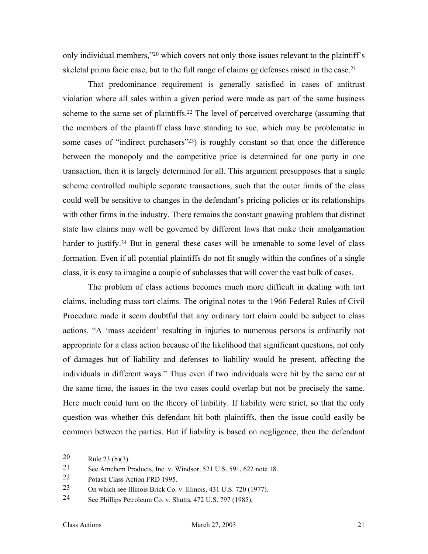only individual members,["20](#page-22-0) which covers not only those issues relevant to the plaintiff's skeletal prima facie case, but to the full range of claims or defenses raised in the case.<sup>21</sup>

That predominance requirement is generally satisfied in cases of antitrust violation where all sales within a given period were made as part of the same business scheme to the same set of plaintiffs. [22](#page-22-2) The level of perceived overcharge (assuming that the members of the plaintiff class have standing to sue, which may be problematic in some cases of "indirect purchasers"<sup>23</sup>) is roughly constant so that once the difference between the monopoly and the competitive price is determined for one party in one transaction, then it is largely determined for all. This argument presupposes that a single scheme controlled multiple separate transactions, such that the outer limits of the class could well be sensitive to changes in the defendant's pricing policies or its relationships with other firms in the industry. There remains the constant gnawing problem that distinct state law claims may well be governed by different laws that make their amalgamation harder to justify.<sup>24</sup> But in general these cases will be amenable to some level of class formation. Even if all potential plaintiffs do not fit snugly within the confines of a single class, it is easy to imagine a couple of subclasses that will cover the vast bulk of cases.

The problem of class actions becomes much more difficult in dealing with tort claims, including mass tort claims. The original notes to the 1966 Federal Rules of Civil Procedure made it seem doubtful that any ordinary tort claim could be subject to class actions. "A 'mass accident' resulting in injuries to numerous persons is ordinarily not appropriate for a class action because of the likelihood that significant questions, not only of damages but of liability and defenses to liability would be present, affecting the individuals in different ways." Thus even if two individuals were hit by the same car at the same time, the issues in the two cases could overlap but not be precisely the same. Here much could turn on the theory of liability. If liability were strict, so that the only question was whether this defendant hit both plaintiffs, then the issue could easily be common between the parties. But if liability is based on negligence, then the defendant

<span id="page-22-0"></span><sup>20</sup> Rule 23 (b)(3).

<span id="page-22-1"></span><sup>21</sup> See Amchem Products, Inc. v. Windsor, 521 U.S. 591, 622 note 18.

<span id="page-22-2"></span><sup>22</sup> Potash Class Action FRD 1995.

<span id="page-22-3"></span><sup>23</sup> On which see Illinois Brick Co. v. Illinois, 431 U.S. 720 (1977).

<span id="page-22-4"></span><sup>24</sup> See Phillips Petroleum Co. v. Shutts, 472 U.S. 797 (1985),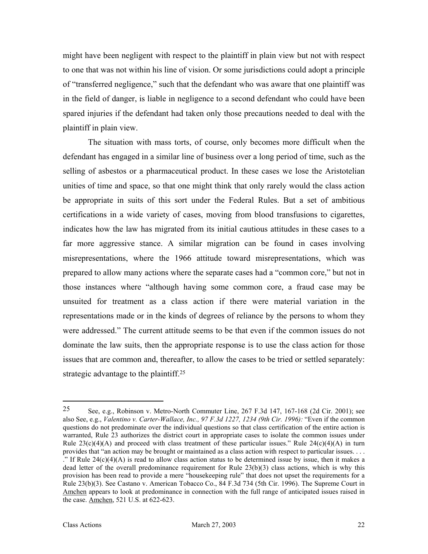might have been negligent with respect to the plaintiff in plain view but not with respect to one that was not within his line of vision. Or some jurisdictions could adopt a principle of "transferred negligence," such that the defendant who was aware that one plaintiff was in the field of danger, is liable in negligence to a second defendant who could have been spared injuries if the defendant had taken only those precautions needed to deal with the plaintiff in plain view.

The situation with mass torts, of course, only becomes more difficult when the defendant has engaged in a similar line of business over a long period of time, such as the selling of asbestos or a pharmaceutical product. In these cases we lose the Aristotelian unities of time and space, so that one might think that only rarely would the class action be appropriate in suits of this sort under the Federal Rules. But a set of ambitious certifications in a wide variety of cases, moving from blood transfusions to cigarettes, indicates how the law has migrated from its initial cautious attitudes in these cases to a far more aggressive stance. A similar migration can be found in cases involving misrepresentations, where the 1966 attitude toward misrepresentations, which was prepared to allow many actions where the separate cases had a "common core," but not in those instances where "although having some common core, a fraud case may be unsuited for treatment as a class action if there were material variation in the representations made or in the kinds of degrees of reliance by the persons to whom they were addressed." The current attitude seems to be that even if the common issues do not dominate the law suits, then the appropriate response is to use the class action for those issues that are common and, thereafter, to allow the cases to be tried or settled separately: strategic advantage to the plaintiff[.25](#page-23-0)

<span id="page-23-0"></span><sup>25</sup> See, e.g., Robinson v. Metro-North Commuter Line, 267 F.3d 147, 167-168 (2d Cir. 2001); see also See, e.g., *Valentino v. Carter-Wallace, Inc., 97 F.3d 1227, 1234 (9th Cir. 1996):* "Even if the common questions do not predominate over the individual questions so that class certification of the entire action is warranted, Rule 23 authorizes the district court in appropriate cases to isolate the common issues under Rule  $23(c)(4)(A)$  and proceed with class treatment of these particular issues." Rule  $24(c)(4)(A)$  in turn provides that "an action may be brought or maintained as a class action with respect to particular issues. . . . ." If Rule  $24(c)(4)(A)$  is read to allow class action status to be determined issue by issue, then it makes a dead letter of the overall predominance requirement for Rule 23(b)(3) class actions, which is why this provision has been read to provide a mere "housekeeping rule" that does not upset the requirements for a Rule 23(b)(3). See Castano v. American Tobacco Co., 84 F.3d 734 (5th Cir. 1996). The Supreme Court in Amchen appears to look at predominance in connection with the full range of anticipated issues raised in the case. Amchen, 521 U.S. at 622-623.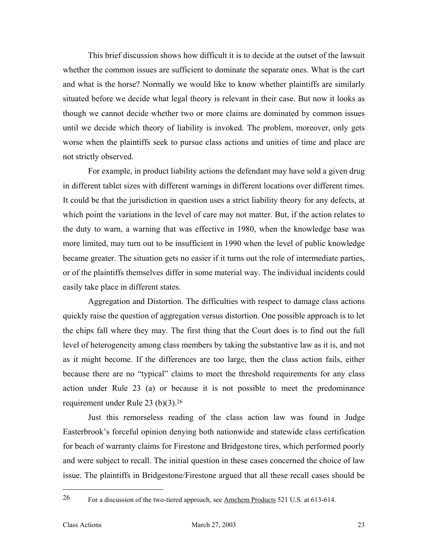This brief discussion shows how difficult it is to decide at the outset of the lawsuit whether the common issues are sufficient to dominate the separate ones. What is the cart and what is the horse? Normally we would like to know whether plaintiffs are similarly situated before we decide what legal theory is relevant in their case. But now it looks as though we cannot decide whether two or more claims are dominated by common issues until we decide which theory of liability is invoked. The problem, moreover, only gets worse when the plaintiffs seek to pursue class actions and unities of time and place are not strictly observed.

For example, in product liability actions the defendant may have sold a given drug in different tablet sizes with different warnings in different locations over different times. It could be that the jurisdiction in question uses a strict liability theory for any defects, at which point the variations in the level of care may not matter. But, if the action relates to the duty to warn, a warning that was effective in 1980, when the knowledge base was more limited, may turn out to be insufficient in 1990 when the level of public knowledge became greater. The situation gets no easier if it turns out the role of intermediate parties, or of the plaintiffs themselves differ in some material way. The individual incidents could easily take place in different states.

Aggregation and Distortion. The difficulties with respect to damage class actions quickly raise the question of aggregation versus distortion. One possible approach is to let the chips fall where they may. The first thing that the Court does is to find out the full level of heterogeneity among class members by taking the substantive law as it is, and not as it might become. If the differences are too large, then the class action fails, either because there are no "typical" claims to meet the threshold requirements for any class action under Rule 23 (a) or because it is not possible to meet the predominance requirement under Rule 23 (b)(3)[.26](#page-24-0) 

Just this remorseless reading of the class action law was found in Judge Easterbrook's forceful opinion denying both nationwide and statewide class certification for beach of warranty claims for Firestone and Bridgestone tires, which performed poorly and were subject to recall. The initial question in these cases concerned the choice of law issue. The plaintiffs in Bridgestone/Firestone argued that all these recall cases should be

<span id="page-24-0"></span><sup>&</sup>lt;sup>26</sup> For a discussion of the two-tiered approach, see <u>Amchem Products</u> 521 U.S. at 613-614.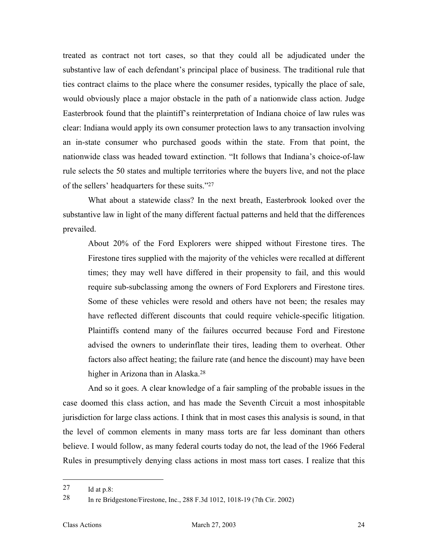treated as contract not tort cases, so that they could all be adjudicated under the substantive law of each defendant's principal place of business. The traditional rule that ties contract claims to the place where the consumer resides, typically the place of sale, would obviously place a major obstacle in the path of a nationwide class action. Judge Easterbrook found that the plaintiff's reinterpretation of Indiana choice of law rules was clear: Indiana would apply its own consumer protection laws to any transaction involving an in-state consumer who purchased goods within the state. From that point, the nationwide class was headed toward extinction. "It follows that Indiana's choice-of-law rule selects the 50 states and multiple territories where the buyers live, and not the place of the sellers' headquarters for these suits.["27](#page-25-0)

What about a statewide class? In the next breath, Easterbrook looked over the substantive law in light of the many different factual patterns and held that the differences prevailed.

About 20% of the Ford Explorers were shipped without Firestone tires. The Firestone tires supplied with the majority of the vehicles were recalled at different times; they may well have differed in their propensity to fail, and this would require sub-subclassing among the owners of Ford Explorers and Firestone tires. Some of these vehicles were resold and others have not been; the resales may have reflected different discounts that could require vehicle-specific litigation. Plaintiffs contend many of the failures occurred because Ford and Firestone advised the owners to underinflate their tires, leading them to overheat. Other factors also affect heating; the failure rate (and hence the discount) may have been higher in Arizona than in Alaska[.28](#page-25-1)

And so it goes. A clear knowledge of a fair sampling of the probable issues in the case doomed this class action, and has made the Seventh Circuit a most inhospitable jurisdiction for large class actions. I think that in most cases this analysis is sound, in that the level of common elements in many mass torts are far less dominant than others believe. I would follow, as many federal courts today do not, the lead of the 1966 Federal Rules in presumptively denying class actions in most mass tort cases. I realize that this

<span id="page-25-0"></span><sup>27</sup> Id at p.8:

<span id="page-25-1"></span><sup>28</sup> In re Bridgestone/Firestone, Inc., 288 F.3d 1012, 1018-19 (7th Cir. 2002)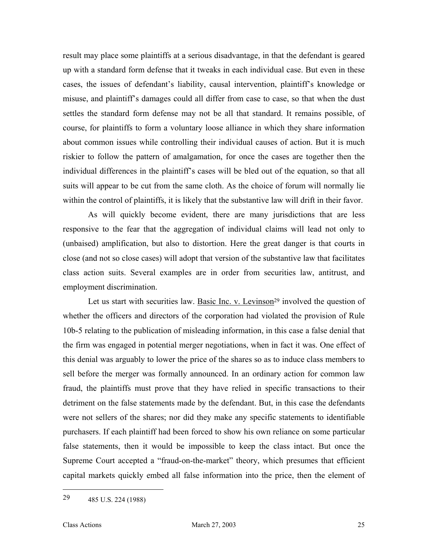result may place some plaintiffs at a serious disadvantage, in that the defendant is geared up with a standard form defense that it tweaks in each individual case. But even in these cases, the issues of defendant's liability, causal intervention, plaintiff's knowledge or misuse, and plaintiff's damages could all differ from case to case, so that when the dust settles the standard form defense may not be all that standard. It remains possible, of course, for plaintiffs to form a voluntary loose alliance in which they share information about common issues while controlling their individual causes of action. But it is much riskier to follow the pattern of amalgamation, for once the cases are together then the individual differences in the plaintiff's cases will be bled out of the equation, so that all suits will appear to be cut from the same cloth. As the choice of forum will normally lie within the control of plaintiffs, it is likely that the substantive law will drift in their favor.

As will quickly become evident, there are many jurisdictions that are less responsive to the fear that the aggregation of individual claims will lead not only to (unbaised) amplification, but also to distortion. Here the great danger is that courts in close (and not so close cases) will adopt that version of the substantive law that facilitates class action suits. Several examples are in order from securities law, antitrust, and employment discrimination.

Let us start with securities law. Basic Inc. v. Levinson<sup>29</sup> involved the question of whether the officers and directors of the corporation had violated the provision of Rule 10b-5 relating to the publication of misleading information, in this case a false denial that the firm was engaged in potential merger negotiations, when in fact it was. One effect of this denial was arguably to lower the price of the shares so as to induce class members to sell before the merger was formally announced. In an ordinary action for common law fraud, the plaintiffs must prove that they have relied in specific transactions to their detriment on the false statements made by the defendant. But, in this case the defendants were not sellers of the shares; nor did they make any specific statements to identifiable purchasers. If each plaintiff had been forced to show his own reliance on some particular false statements, then it would be impossible to keep the class intact. But once the Supreme Court accepted a "fraud-on-the-market" theory, which presumes that efficient capital markets quickly embed all false information into the price, then the element of

<span id="page-26-0"></span><sup>29</sup> 485 U.S. 224 (1988)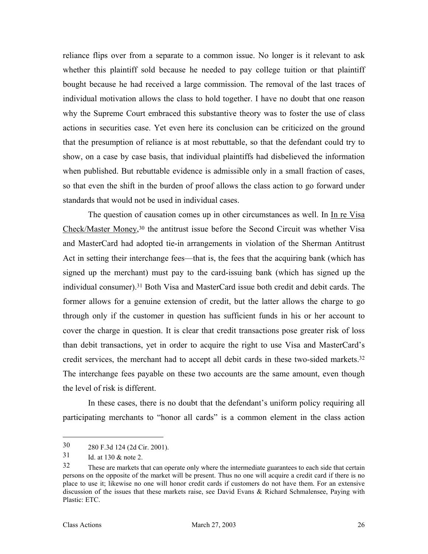reliance flips over from a separate to a common issue. No longer is it relevant to ask whether this plaintiff sold because he needed to pay college tuition or that plaintiff bought because he had received a large commission. The removal of the last traces of individual motivation allows the class to hold together. I have no doubt that one reason why the Supreme Court embraced this substantive theory was to foster the use of class actions in securities case. Yet even here its conclusion can be criticized on the ground that the presumption of reliance is at most rebuttable, so that the defendant could try to show, on a case by case basis, that individual plaintiffs had disbelieved the information when published. But rebuttable evidence is admissible only in a small fraction of cases, so that even the shift in the burden of proof allows the class action to go forward under standards that would not be used in individual cases.

The question of causation comes up in other circumstances as well. In In re Visa Check/Master Money, [30](#page-27-0) the antitrust issue before the Second Circuit was whether Visa and MasterCard had adopted tie-in arrangements in violation of the Sherman Antitrust Act in setting their interchange fees—that is, the fees that the acquiring bank (which has signed up the merchant) must pay to the card-issuing bank (which has signed up the individual consumer).[31](#page-27-1) Both Visa and MasterCard issue both credit and debit cards. The former allows for a genuine extension of credit, but the latter allows the charge to go through only if the customer in question has sufficient funds in his or her account to cover the charge in question. It is clear that credit transactions pose greater risk of loss than debit transactions, yet in order to acquire the right to use Visa and MasterCard's credit services, the merchant had to accept all debit cards in these two-sided markets[.32](#page-27-2) The interchange fees payable on these two accounts are the same amount, even though the level of risk is different.

In these cases, there is no doubt that the defendant's uniform policy requiring all participating merchants to "honor all cards" is a common element in the class action

<span id="page-27-0"></span><sup>30</sup> 280 F.3d 124 (2d Cir. 2001).

<span id="page-27-1"></span><sup>31</sup> Id. at 130 & note 2.

<span id="page-27-2"></span><sup>&</sup>lt;sup>32</sup> These are markets that can operate only where the intermediate guarantees to each side that certain persons on the opposite of the market will be present. Thus no one will acquire a credit card if there is no place to use it; likewise no one will honor credit cards if customers do not have them. For an extensive discussion of the issues that these markets raise, see David Evans & Richard Schmalensee, Paying with Plastic: ETC.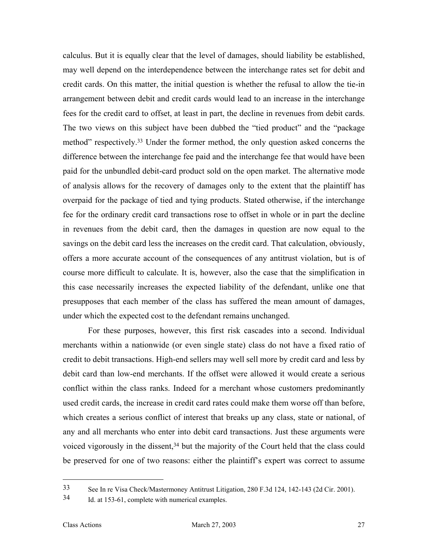calculus. But it is equally clear that the level of damages, should liability be established, may well depend on the interdependence between the interchange rates set for debit and credit cards. On this matter, the initial question is whether the refusal to allow the tie-in arrangement between debit and credit cards would lead to an increase in the interchange fees for the credit card to offset, at least in part, the decline in revenues from debit cards. The two views on this subject have been dubbed the "tied product" and the "package method" respectively.[33](#page-28-0) Under the former method, the only question asked concerns the difference between the interchange fee paid and the interchange fee that would have been paid for the unbundled debit-card product sold on the open market. The alternative mode of analysis allows for the recovery of damages only to the extent that the plaintiff has overpaid for the package of tied and tying products. Stated otherwise, if the interchange fee for the ordinary credit card transactions rose to offset in whole or in part the decline in revenues from the debit card, then the damages in question are now equal to the savings on the debit card less the increases on the credit card. That calculation, obviously, offers a more accurate account of the consequences of any antitrust violation, but is of course more difficult to calculate. It is, however, also the case that the simplification in this case necessarily increases the expected liability of the defendant, unlike one that presupposes that each member of the class has suffered the mean amount of damages, under which the expected cost to the defendant remains unchanged.

For these purposes, however, this first risk cascades into a second. Individual merchants within a nationwide (or even single state) class do not have a fixed ratio of credit to debit transactions. High-end sellers may well sell more by credit card and less by debit card than low-end merchants. If the offset were allowed it would create a serious conflict within the class ranks. Indeed for a merchant whose customers predominantly used credit cards, the increase in credit card rates could make them worse off than before, which creates a serious conflict of interest that breaks up any class, state or national, of any and all merchants who enter into debit card transactions. Just these arguments were voiced vigorously in the dissent,<sup>34</sup> but the majority of the Court held that the class could be preserved for one of two reasons: either the plaintiff's expert was correct to assume

<span id="page-28-0"></span><sup>33</sup> See In re Visa Check/Mastermoney Antitrust Litigation, 280 F.3d 124, 142-143 (2d Cir. 2001).

<span id="page-28-1"></span><sup>34</sup> Id. at 153-61, complete with numerical examples.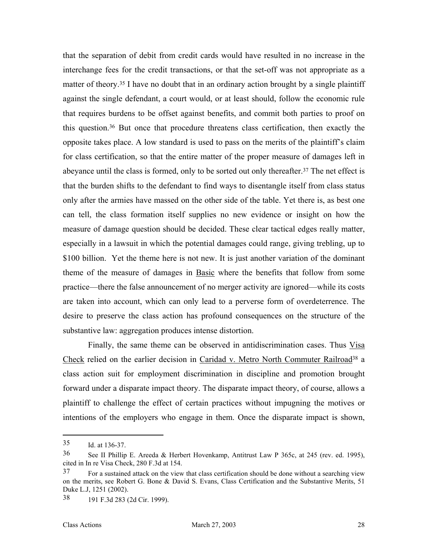that the separation of debit from credit cards would have resulted in no increase in the interchange fees for the credit transactions, or that the set-off was not appropriate as a matter of theory.<sup>35</sup> I have no doubt that in an ordinary action brought by a single plaintiff against the single defendant, a court would, or at least should, follow the economic rule that requires burdens to be offset against benefits, and commit both parties to proof on this question.[36](#page-29-1) But once that procedure threatens class certification, then exactly the opposite takes place. A low standard is used to pass on the merits of the plaintiff's claim for class certification, so that the entire matter of the proper measure of damages left in abeyance until the class is formed, only to be sorted out only thereafter.[37 T](#page-29-2)he net effect is that the burden shifts to the defendant to find ways to disentangle itself from class status only after the armies have massed on the other side of the table. Yet there is, as best one can tell, the class formation itself supplies no new evidence or insight on how the measure of damage question should be decided. These clear tactical edges really matter, especially in a lawsuit in which the potential damages could range, giving trebling, up to \$100 billion. Yet the theme here is not new. It is just another variation of the dominant theme of the measure of damages in **Basic** where the benefits that follow from some practice—there the false announcement of no merger activity are ignored—while its costs are taken into account, which can only lead to a perverse form of overdeterrence. The desire to preserve the class action has profound consequences on the structure of the substantive law: aggregation produces intense distortion.

Finally, the same theme can be observed in antidiscrimination cases. Thus Visa Check relied on the earlier decision in Caridad v. Metro North Commuter Railroad<sup>38</sup> a class action suit for employment discrimination in discipline and promotion brought forward under a disparate impact theory. The disparate impact theory, of course, allows a plaintiff to challenge the effect of certain practices without impugning the motives or intentions of the employers who engage in them. Once the disparate impact is shown,

<span id="page-29-0"></span><sup>35</sup> Id. at 136-37.

<span id="page-29-1"></span><sup>36</sup> See II Phillip E. Areeda & Herbert Hovenkamp, Antitrust Law P 365c, at 245 (rev. ed. 1995), cited in In re Visa Check, 280 F.3d at 154.

<span id="page-29-2"></span><sup>&</sup>lt;sup>37</sup> For a sustained attack on the view that class certification should be done without a searching view on the merits, see Robert G. Bone & David S. Evans, Class Certification and the Substantive Merits, 51 Duke L.J, 1251 (2002).

<span id="page-29-3"></span><sup>38</sup> 191 F.3d 283 (2d Cir. 1999).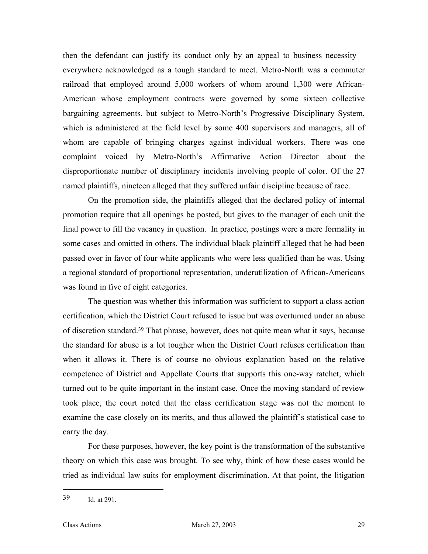then the defendant can justify its conduct only by an appeal to business necessity everywhere acknowledged as a tough standard to meet. Metro-North was a commuter railroad that employed around 5,000 workers of whom around 1,300 were African-American whose employment contracts were governed by some sixteen collective bargaining agreements, but subject to Metro-North's Progressive Disciplinary System, which is administered at the field level by some 400 supervisors and managers, all of whom are capable of bringing charges against individual workers. There was one complaint voiced by Metro-North's Affirmative Action Director about the disproportionate number of disciplinary incidents involving people of color. Of the 27 named plaintiffs, nineteen alleged that they suffered unfair discipline because of race.

On the promotion side, the plaintiffs alleged that the declared policy of internal promotion require that all openings be posted, but gives to the manager of each unit the final power to fill the vacancy in question. In practice, postings were a mere formality in some cases and omitted in others. The individual black plaintiff alleged that he had been passed over in favor of four white applicants who were less qualified than he was. Using a regional standard of proportional representation, underutilization of African-Americans was found in five of eight categories.

The question was whether this information was sufficient to support a class action certification, which the District Court refused to issue but was overturned under an abuse of discretion standard.[39](#page-30-0) That phrase, however, does not quite mean what it says, because the standard for abuse is a lot tougher when the District Court refuses certification than when it allows it. There is of course no obvious explanation based on the relative competence of District and Appellate Courts that supports this one-way ratchet, which turned out to be quite important in the instant case. Once the moving standard of review took place, the court noted that the class certification stage was not the moment to examine the case closely on its merits, and thus allowed the plaintiff's statistical case to carry the day.

For these purposes, however, the key point is the transformation of the substantive theory on which this case was brought. To see why, think of how these cases would be tried as individual law suits for employment discrimination. At that point, the litigation

<span id="page-30-0"></span><sup>39</sup> Id. at 291.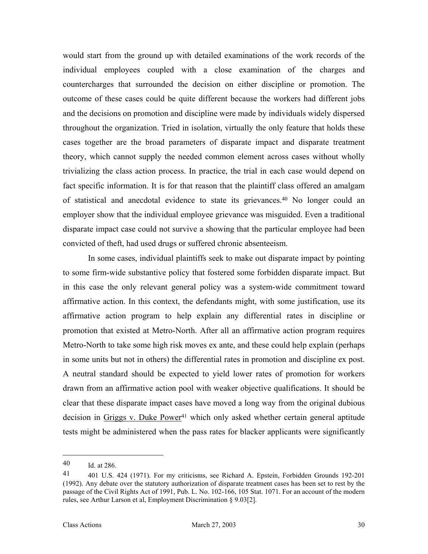would start from the ground up with detailed examinations of the work records of the individual employees coupled with a close examination of the charges and countercharges that surrounded the decision on either discipline or promotion. The outcome of these cases could be quite different because the workers had different jobs and the decisions on promotion and discipline were made by individuals widely dispersed throughout the organization. Tried in isolation, virtually the only feature that holds these cases together are the broad parameters of disparate impact and disparate treatment theory, which cannot supply the needed common element across cases without wholly trivializing the class action process. In practice, the trial in each case would depend on fact specific information. It is for that reason that the plaintiff class offered an amalgam of statistical and anecdotal evidence to state its grievances.[40](#page-31-0) No longer could an employer show that the individual employee grievance was misguided. Even a traditional disparate impact case could not survive a showing that the particular employee had been convicted of theft, had used drugs or suffered chronic absenteeism.

In some cases, individual plaintiffs seek to make out disparate impact by pointing to some firm-wide substantive policy that fostered some forbidden disparate impact. But in this case the only relevant general policy was a system-wide commitment toward affirmative action. In this context, the defendants might, with some justification, use its affirmative action program to help explain any differential rates in discipline or promotion that existed at Metro-North. After all an affirmative action program requires Metro-North to take some high risk moves ex ante, and these could help explain (perhaps in some units but not in others) the differential rates in promotion and discipline ex post. A neutral standard should be expected to yield lower rates of promotion for workers drawn from an affirmative action pool with weaker objective qualifications. It should be clear that these disparate impact cases have moved a long way from the original dubious decision in Griggs v. Duke Power[41](#page-31-1) which only asked whether certain general aptitude tests might be administered when the pass rates for blacker applicants were significantly

<span id="page-31-0"></span><sup>40</sup> Id. at 286.

<span id="page-31-1"></span><sup>41 401</sup> U.S. 424 (1971). For my criticisms, see Richard A. Epstein, Forbidden Grounds 192-201 (1992). Any debate over the statutory authorization of disparate treatment cases has been set to rest by the passage of the Civil Rights Act of 1991, Pub. L. No. 102-166, 105 Stat. 1071. For an account of the modern rules, see Arthur Larson et al, Employment Discrimination § 9.03[2].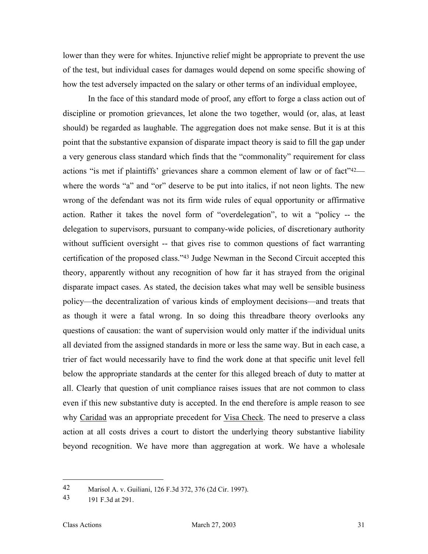lower than they were for whites. Injunctive relief might be appropriate to prevent the use of the test, but individual cases for damages would depend on some specific showing of how the test adversely impacted on the salary or other terms of an individual employee,

In the face of this standard mode of proof, any effort to forge a class action out of discipline or promotion grievances, let alone the two together, would (or, alas, at least should) be regarded as laughable. The aggregation does not make sense. But it is at this point that the substantive expansion of disparate impact theory is said to fill the gap under a very generous class standard which finds that the "commonality" requirement for class actions "is met if plaintiffs' grievances share a common element of law or of fact"<sup>42</sup> where the words "a" and "or" deserve to be put into italics, if not neon lights. The new wrong of the defendant was not its firm wide rules of equal opportunity or affirmative action. Rather it takes the novel form of "overdelegation", to wit a "policy -- the delegation to supervisors, pursuant to company-wide policies, of discretionary authority without sufficient oversight -- that gives rise to common questions of fact warranting certification of the proposed class."[43](#page-32-1) Judge Newman in the Second Circuit accepted this theory, apparently without any recognition of how far it has strayed from the original disparate impact cases. As stated, the decision takes what may well be sensible business policy—the decentralization of various kinds of employment decisions—and treats that as though it were a fatal wrong. In so doing this threadbare theory overlooks any questions of causation: the want of supervision would only matter if the individual units all deviated from the assigned standards in more or less the same way. But in each case, a trier of fact would necessarily have to find the work done at that specific unit level fell below the appropriate standards at the center for this alleged breach of duty to matter at all. Clearly that question of unit compliance raises issues that are not common to class even if this new substantive duty is accepted. In the end therefore is ample reason to see why Caridad was an appropriate precedent for Visa Check. The need to preserve a class action at all costs drives a court to distort the underlying theory substantive liability beyond recognition. We have more than aggregation at work. We have a wholesale

<span id="page-32-0"></span><sup>42</sup> Marisol A. v. Guiliani, 126 F.3d 372, 376 (2d Cir. 1997).

<span id="page-32-1"></span><sup>43</sup> 191 F.3d at 291.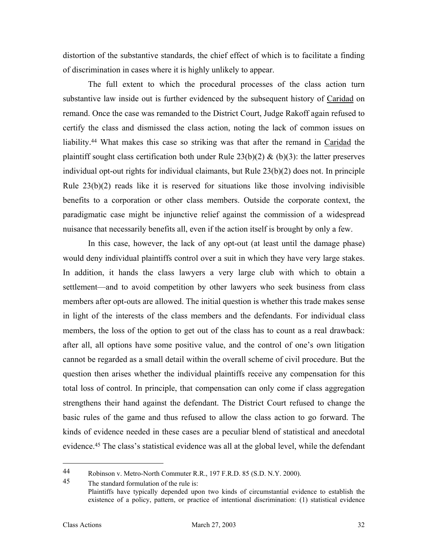<span id="page-33-1"></span>distortion of the substantive standards, the chief effect of which is to facilitate a finding of discrimination in cases where it is highly unlikely to appear.

The full extent to which the procedural processes of the class action turn substantive law inside out is further evidenced by the subsequent history of Caridad on remand. Once the case was remanded to the District Court, Judge Rakoff again refused to certify the class and dismissed the class action, noting the lack of common issues on liability.[44](#page-33-0) What makes this case so striking was that after the remand in Caridad the plaintiff sought class certification both under Rule  $23(b)(2)$  & (b)(3): the latter preserves individual opt-out rights for individual claimants, but Rule 23(b)(2) does not. In principle Rule  $23(b)(2)$  reads like it is reserved for situations like those involving indivisible benefits to a corporation or other class members. Outside the corporate context, the paradigmatic case might be injunctive relief against the commission of a widespread nuisance that necessarily benefits all, even if the action itself is brought by only a few.

In this case, however, the lack of any opt-out (at least until the damage phase) would deny individual plaintiffs control over a suit in which they have very large stakes. In addition, it hands the class lawyers a very large club with which to obtain a settlement—and to avoid competition by other lawyers who seek business from class members after opt-outs are allowed. The initial question is whether this trade makes sense in light of the interests of the class members and the defendants. For individual class members, the loss of the option to get out of the class has to count as a real drawback: after all, all options have some positive value, and the control of one's own litigation cannot be regarded as a small detail within the overall scheme of civil procedure. But the question then arises whether the individual plaintiffs receive any compensation for this total loss of control. In principle, that compensation can only come if class aggregation strengthens their hand against the defendant. The District Court refused to change the basic rules of the game and thus refused to allow the class action to go forward. The kinds of evidence needed in these cases are a peculiar blend of statistical and anecdotal evidence.[45 T](#page-33-1)he class's statistical evidence was all at the global level, while the defendant

<span id="page-33-0"></span><sup>44</sup> Robinson v. Metro-North Commuter R.R., 197 F.R.D. 85 (S.D. N.Y. 2000).

<sup>45</sup> The standard formulation of the rule is: Plaintiffs have typically depended upon two kinds of circumstantial evidence to establish the existence of a policy, pattern, or practice of intentional discrimination: (1) statistical evidence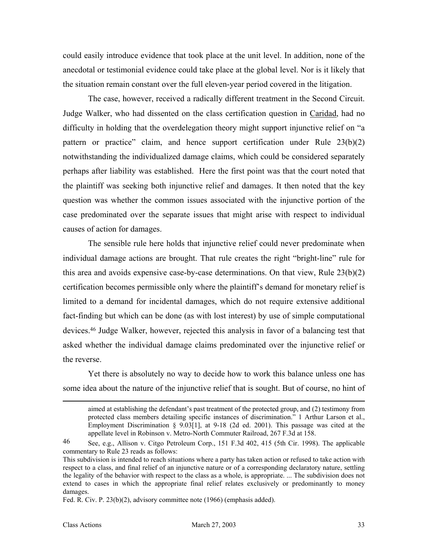could easily introduce evidence that took place at the unit level. In addition, none of the anecdotal or testimonial evidence could take place at the global level. Nor is it likely that the situation remain constant over the full eleven-year period covered in the litigation.

The case, however, received a radically different treatment in the Second Circuit. Judge Walker, who had dissented on the class certification question in Caridad, had no difficulty in holding that the overdelegation theory might support injunctive relief on "a pattern or practice" claim, and hence support certification under Rule 23(b)(2) notwithstanding the individualized damage claims, which could be considered separately perhaps after liability was established. Here the first point was that the court noted that the plaintiff was seeking both injunctive relief and damages. It then noted that the key question was whether the common issues associated with the injunctive portion of the case predominated over the separate issues that might arise with respect to individual causes of action for damages.

The sensible rule here holds that injunctive relief could never predominate when individual damage actions are brought. That rule creates the right "bright-line" rule for this area and avoids expensive case-by-case determinations. On that view, Rule 23(b)(2) certification becomes permissible only where the plaintiff's demand for monetary relief is limited to a demand for incidental damages, which do not require extensive additional fact-finding but which can be done (as with lost interest) by use of simple computational devices[.46](#page-34-0) Judge Walker, however, rejected this analysis in favor of a balancing test that asked whether the individual damage claims predominated over the injunctive relief or the reverse.

Yet there is absolutely no way to decide how to work this balance unless one has some idea about the nature of the injunctive relief that is sought. But of course, no hint of

aimed at establishing the defendant's past treatment of the protected group, and (2) testimony from protected class members detailing specific instances of discrimination." 1 Arthur Larson et al., Employment Discrimination § 9.03[1], at 9-18 (2d ed. 2001). This passage was cited at the appellate level in Robinson v. Metro-North Commuter Railroad, 267 F.3d at 158.

<span id="page-34-0"></span><sup>46</sup> See, e.g., Allison v. Citgo Petroleum Corp., 151 F.3d 402, 415 (5th Cir. 1998). The applicable commentary to Rule 23 reads as follows:

This subdivision is intended to reach situations where a party has taken action or refused to take action with respect to a class, and final relief of an injunctive nature or of a corresponding declaratory nature, settling the legality of the behavior with respect to the class as a whole, is appropriate. ... The subdivision does not extend to cases in which the appropriate final relief relates exclusively or predominantly to money damages.

Fed. R. Civ. P. 23(b)(2), advisory committee note (1966) (emphasis added).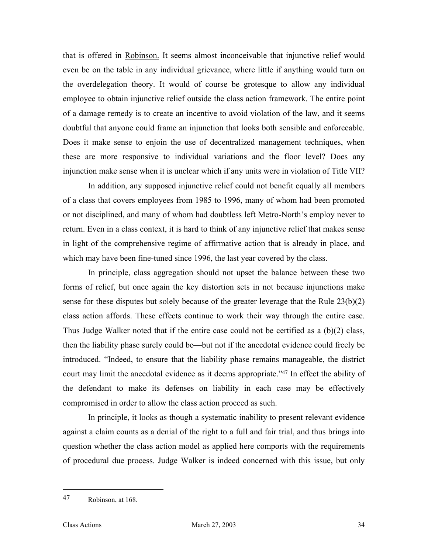that is offered in Robinson. It seems almost inconceivable that injunctive relief would even be on the table in any individual grievance, where little if anything would turn on the overdelegation theory. It would of course be grotesque to allow any individual employee to obtain injunctive relief outside the class action framework. The entire point of a damage remedy is to create an incentive to avoid violation of the law, and it seems doubtful that anyone could frame an injunction that looks both sensible and enforceable. Does it make sense to enjoin the use of decentralized management techniques, when these are more responsive to individual variations and the floor level? Does any injunction make sense when it is unclear which if any units were in violation of Title VII?

In addition, any supposed injunctive relief could not benefit equally all members of a class that covers employees from 1985 to 1996, many of whom had been promoted or not disciplined, and many of whom had doubtless left Metro-North's employ never to return. Even in a class context, it is hard to think of any injunctive relief that makes sense in light of the comprehensive regime of affirmative action that is already in place, and which may have been fine-tuned since 1996, the last year covered by the class.

In principle, class aggregation should not upset the balance between these two forms of relief, but once again the key distortion sets in not because injunctions make sense for these disputes but solely because of the greater leverage that the Rule 23(b)(2) class action affords. These effects continue to work their way through the entire case. Thus Judge Walker noted that if the entire case could not be certified as a (b)(2) class, then the liability phase surely could be—but not if the anecdotal evidence could freely be introduced. "Indeed, to ensure that the liability phase remains manageable, the district court may limit the anecdotal evidence as it deems appropriate."[47](#page-35-0) In effect the ability of the defendant to make its defenses on liability in each case may be effectively compromised in order to allow the class action proceed as such.

In principle, it looks as though a systematic inability to present relevant evidence against a claim counts as a denial of the right to a full and fair trial, and thus brings into question whether the class action model as applied here comports with the requirements of procedural due process. Judge Walker is indeed concerned with this issue, but only

<span id="page-35-0"></span><sup>47</sup> Robinson, at 168.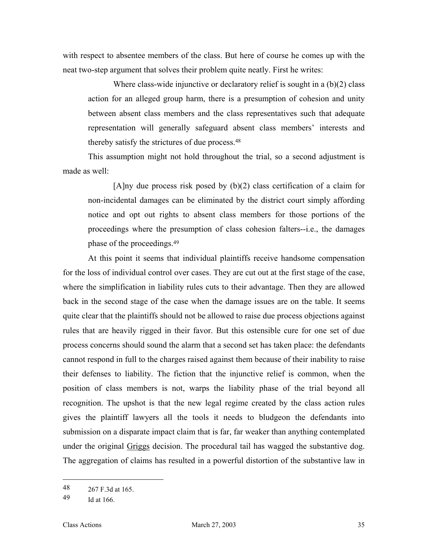with respect to absentee members of the class. But here of course he comes up with the neat two-step argument that solves their problem quite neatly. First he writes:

Where class-wide injunctive or declaratory relief is sought in a (b)(2) class action for an alleged group harm, there is a presumption of cohesion and unity between absent class members and the class representatives such that adequate representation will generally safeguard absent class members' interests and thereby satisfy the strictures of due process[.48](#page-36-0)

This assumption might not hold throughout the trial, so a second adjustment is made as well:

[A]ny due process risk posed by (b)(2) class certification of a claim for non-incidental damages can be eliminated by the district court simply affording notice and opt out rights to absent class members for those portions of the proceedings where the presumption of class cohesion falters--i.e., the damages phase of the proceedings[.49](#page-36-1)

At this point it seems that individual plaintiffs receive handsome compensation for the loss of individual control over cases. They are cut out at the first stage of the case, where the simplification in liability rules cuts to their advantage. Then they are allowed back in the second stage of the case when the damage issues are on the table. It seems quite clear that the plaintiffs should not be allowed to raise due process objections against rules that are heavily rigged in their favor. But this ostensible cure for one set of due process concerns should sound the alarm that a second set has taken place: the defendants cannot respond in full to the charges raised against them because of their inability to raise their defenses to liability. The fiction that the injunctive relief is common, when the position of class members is not, warps the liability phase of the trial beyond all recognition. The upshot is that the new legal regime created by the class action rules gives the plaintiff lawyers all the tools it needs to bludgeon the defendants into submission on a disparate impact claim that is far, far weaker than anything contemplated under the original Griggs decision. The procedural tail has wagged the substantive dog. The aggregation of claims has resulted in a powerful distortion of the substantive law in

<span id="page-36-0"></span><sup>48</sup> 267 F.3d at 165.

<span id="page-36-1"></span><sup>49</sup> Id at 166.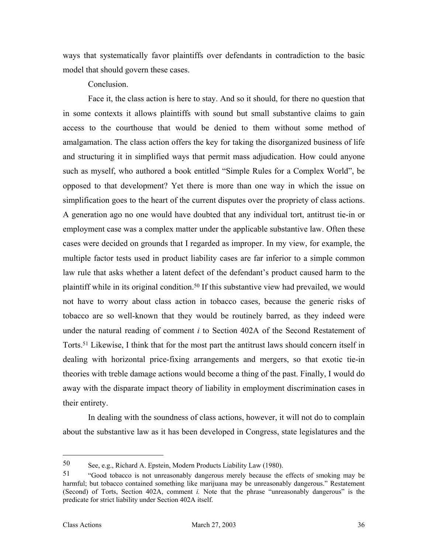ways that systematically favor plaintiffs over defendants in contradiction to the basic model that should govern these cases.

#### Conclusion.

Face it, the class action is here to stay. And so it should, for there no question that in some contexts it allows plaintiffs with sound but small substantive claims to gain access to the courthouse that would be denied to them without some method of amalgamation. The class action offers the key for taking the disorganized business of life and structuring it in simplified ways that permit mass adjudication. How could anyone such as myself, who authored a book entitled "Simple Rules for a Complex World", be opposed to that development? Yet there is more than one way in which the issue on simplification goes to the heart of the current disputes over the propriety of class actions. A generation ago no one would have doubted that any individual tort, antitrust tie-in or employment case was a complex matter under the applicable substantive law. Often these cases were decided on grounds that I regarded as improper. In my view, for example, the multiple factor tests used in product liability cases are far inferior to a simple common law rule that asks whether a latent defect of the defendant's product caused harm to the plaintiff while in its original condition.[50 I](#page-37-0)f this substantive view had prevailed, we would not have to worry about class action in tobacco cases, because the generic risks of tobacco are so well-known that they would be routinely barred, as they indeed were under the natural reading of comment *i* to Section 402A of the Second Restatement of Torts.[51 L](#page-37-1)ikewise, I think that for the most part the antitrust laws should concern itself in dealing with horizontal price-fixing arrangements and mergers, so that exotic tie-in theories with treble damage actions would become a thing of the past. Finally, I would do away with the disparate impact theory of liability in employment discrimination cases in their entirety.

In dealing with the soundness of class actions, however, it will not do to complain about the substantive law as it has been developed in Congress, state legislatures and the

<span id="page-37-0"></span><sup>50</sup> See, e.g., Richard A. Epstein, Modern Products Liability Law (1980).

<span id="page-37-1"></span><sup>51</sup> "Good tobacco is not unreasonably dangerous merely because the effects of smoking may be harmful; but tobacco contained something like marijuana may be unreasonably dangerous." Restatement (Second) of Torts, Section 402A, comment *i.* Note that the phrase "unreasonably dangerous" is the predicate for strict liability under Section 402A itself.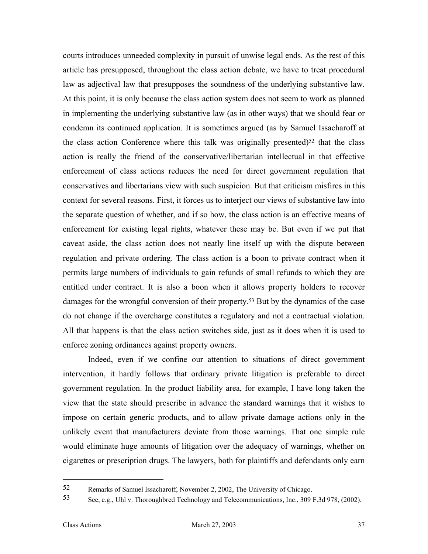courts introduces unneeded complexity in pursuit of unwise legal ends. As the rest of this article has presupposed, throughout the class action debate, we have to treat procedural law as adjectival law that presupposes the soundness of the underlying substantive law. At this point, it is only because the class action system does not seem to work as planned in implementing the underlying substantive law (as in other ways) that we should fear or condemn its continued application. It is sometimes argued (as by Samuel Issacharoff at the class action Conference where this talk was originally presented)<sup>52</sup> that the class action is really the friend of the conservative/libertarian intellectual in that effective enforcement of class actions reduces the need for direct government regulation that conservatives and libertarians view with such suspicion. But that criticism misfires in this context for several reasons. First, it forces us to interject our views of substantive law into the separate question of whether, and if so how, the class action is an effective means of enforcement for existing legal rights, whatever these may be. But even if we put that caveat aside, the class action does not neatly line itself up with the dispute between regulation and private ordering. The class action is a boon to private contract when it permits large numbers of individuals to gain refunds of small refunds to which they are entitled under contract. It is also a boon when it allows property holders to recover damages for the wrongful conversion of their property.[53](#page-38-1) But by the dynamics of the case do not change if the overcharge constitutes a regulatory and not a contractual violation. All that happens is that the class action switches side, just as it does when it is used to enforce zoning ordinances against property owners.

Indeed, even if we confine our attention to situations of direct government intervention, it hardly follows that ordinary private litigation is preferable to direct government regulation. In the product liability area, for example, I have long taken the view that the state should prescribe in advance the standard warnings that it wishes to impose on certain generic products, and to allow private damage actions only in the unlikely event that manufacturers deviate from those warnings. That one simple rule would eliminate huge amounts of litigation over the adequacy of warnings, whether on cigarettes or prescription drugs. The lawyers, both for plaintiffs and defendants only earn

<span id="page-38-0"></span><sup>52</sup> Remarks of Samuel Issacharoff, November 2, 2002, The University of Chicago.

<span id="page-38-1"></span><sup>53</sup> See, e.g., Uhl v. Thoroughbred Technology and Telecommunications, Inc., 309 F.3d 978, (2002).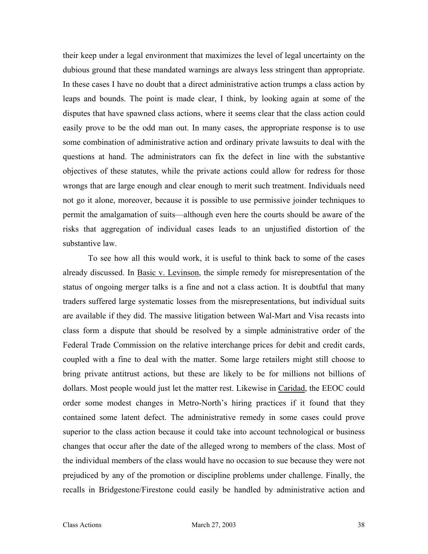their keep under a legal environment that maximizes the level of legal uncertainty on the dubious ground that these mandated warnings are always less stringent than appropriate. In these cases I have no doubt that a direct administrative action trumps a class action by leaps and bounds. The point is made clear, I think, by looking again at some of the disputes that have spawned class actions, where it seems clear that the class action could easily prove to be the odd man out. In many cases, the appropriate response is to use some combination of administrative action and ordinary private lawsuits to deal with the questions at hand. The administrators can fix the defect in line with the substantive objectives of these statutes, while the private actions could allow for redress for those wrongs that are large enough and clear enough to merit such treatment. Individuals need not go it alone, moreover, because it is possible to use permissive joinder techniques to permit the amalgamation of suits—although even here the courts should be aware of the risks that aggregation of individual cases leads to an unjustified distortion of the substantive law.

To see how all this would work, it is useful to think back to some of the cases already discussed. In <u>Basic v. Levinson</u>, the simple remedy for misrepresentation of the status of ongoing merger talks is a fine and not a class action. It is doubtful that many traders suffered large systematic losses from the misrepresentations, but individual suits are available if they did. The massive litigation between Wal-Mart and Visa recasts into class form a dispute that should be resolved by a simple administrative order of the Federal Trade Commission on the relative interchange prices for debit and credit cards, coupled with a fine to deal with the matter. Some large retailers might still choose to bring private antitrust actions, but these are likely to be for millions not billions of dollars. Most people would just let the matter rest. Likewise in Caridad, the EEOC could order some modest changes in Metro-North's hiring practices if it found that they contained some latent defect. The administrative remedy in some cases could prove superior to the class action because it could take into account technological or business changes that occur after the date of the alleged wrong to members of the class. Most of the individual members of the class would have no occasion to sue because they were not prejudiced by any of the promotion or discipline problems under challenge. Finally, the recalls in Bridgestone/Firestone could easily be handled by administrative action and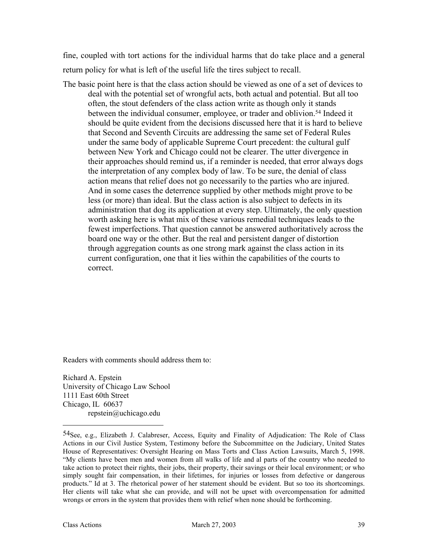fine, coupled with tort actions for the individual harms that do take place and a general return policy for what is left of the useful life the tires subject to recall.

The basic point here is that the class action should be viewed as one of a set of devices to deal with the potential set of wrongful acts, both actual and potential. But all too often, the stout defenders of the class action write as though only it stands between the individual consumer, employee, or trader and oblivion[.54](#page-40-0) Indeed it should be quite evident from the decisions discussed here that it is hard to believe that Second and Seventh Circuits are addressing the same set of Federal Rules under the same body of applicable Supreme Court precedent: the cultural gulf between New York and Chicago could not be clearer. The utter divergence in their approaches should remind us, if a reminder is needed, that error always dogs the interpretation of any complex body of law. To be sure, the denial of class action means that relief does not go necessarily to the parties who are injured. And in some cases the deterrence supplied by other methods might prove to be less (or more) than ideal. But the class action is also subject to defects in its administration that dog its application at every step. Ultimately, the only question worth asking here is what mix of these various remedial techniques leads to the fewest imperfections. That question cannot be answered authoritatively across the board one way or the other. But the real and persistent danger of distortion through aggregation counts as one strong mark against the class action in its current configuration, one that it lies within the capabilities of the courts to correct.

Readers with comments should address them to:

Richard A. Epstein University of Chicago Law School 1111 East 60th Street Chicago, IL 60637 repstein@uchicago.edu

<span id="page-40-0"></span><sup>54</sup>See, e.g., Elizabeth J. Calabreser, Access, Equity and Finality of Adjudication: The Role of Class Actions in our Civil Justice System, Testimony before the Subcommittee on the Judiciary, United States House of Representatives: Oversight Hearing on Mass Torts and Class Action Lawsuits, March 5, 1998. "My clients have been men and women from all walks of life and al parts of the country who needed to take action to protect their rights, their jobs, their property, their savings or their local environment; or who simply sought fair compensation, in their lifetimes, for injuries or losses from defective or dangerous products." Id at 3. The rhetorical power of her statement should be evident. But so too its shortcomings. Her clients will take what she can provide, and will not be upset with overcompensation for admitted wrongs or errors in the system that provides them with relief when none should be forthcoming.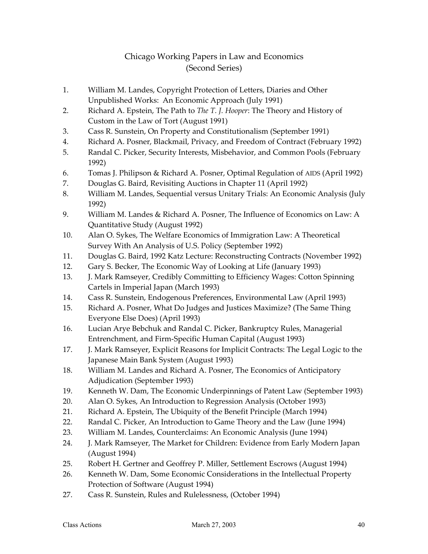#### Chicago Working Papers in Law and Economics (Second Series)

- 1. William M. Landes, Copyright Protection of Letters, Diaries and Other Unpublished Works: An Economic Approach (July 1991)
- 2. Richard A. Epstein, The Path to *The T. J. Hooper*: The Theory and History of Custom in the Law of Tort (August 1991)
- 3. Cass R. Sunstein, On Property and Constitutionalism (September 1991)
- 4. Richard A. Posner, Blackmail, Privacy, and Freedom of Contract (February 1992)
- 5. Randal C. Picker, Security Interests, Misbehavior, and Common Pools (February 1992)
- 6. Tomas J. Philipson & Richard A. Posner, Optimal Regulation of AIDS (April 1992)
- 7. Douglas G. Baird, Revisiting Auctions in Chapter 11 (April 1992)
- 8. William M. Landes, Sequential versus Unitary Trials: An Economic Analysis (July 1992)
- 9. William M. Landes & Richard A. Posner, The Influence of Economics on Law: A Quantitative Study (August 1992)
- 10. Alan O. Sykes, The Welfare Economics of Immigration Law: A Theoretical Survey With An Analysis of U.S. Policy (September 1992)
- 11. Douglas G. Baird, 1992 Katz Lecture: Reconstructing Contracts (November 1992)
- 12. Gary S. Becker, The Economic Way of Looking at Life (January 1993)
- 13. J. Mark Ramseyer, Credibly Committing to Efficiency Wages: Cotton Spinning Cartels in Imperial Japan (March 1993)
- 14. Cass R. Sunstein, Endogenous Preferences, Environmental Law (April 1993)
- 15. Richard A. Posner, What Do Judges and Justices Maximize? (The Same Thing Everyone Else Does) (April 1993)
- 16. Lucian Arye Bebchuk and Randal C. Picker, Bankruptcy Rules, Managerial Entrenchment, and Firm-Specific Human Capital (August 1993)
- 17. J. Mark Ramseyer, Explicit Reasons for Implicit Contracts: The Legal Logic to the Japanese Main Bank System (August 1993)
- 18. William M. Landes and Richard A. Posner, The Economics of Anticipatory Adjudication (September 1993)
- 19. Kenneth W. Dam, The Economic Underpinnings of Patent Law (September 1993)
- 20. Alan O. Sykes, An Introduction to Regression Analysis (October 1993)
- 21. Richard A. Epstein, The Ubiquity of the Benefit Principle (March 1994)
- 22. Randal C. Picker, An Introduction to Game Theory and the Law (June 1994)
- 23. William M. Landes, Counterclaims: An Economic Analysis (June 1994)
- 24. J. Mark Ramseyer, The Market for Children: Evidence from Early Modern Japan (August 1994)
- 25. Robert H. Gertner and Geoffrey P. Miller, Settlement Escrows (August 1994)
- 26. Kenneth W. Dam, Some Economic Considerations in the Intellectual Property Protection of Software (August 1994)
- 27. Cass R. Sunstein, Rules and Rulelessness, (October 1994)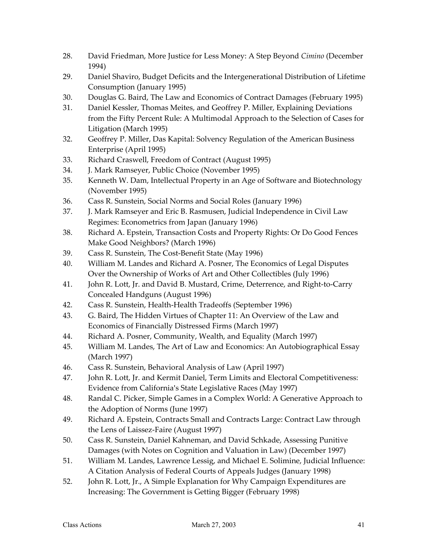- 28. David Friedman, More Justice for Less Money: A Step Beyond *Cimino* (December 1994)
- 29. Daniel Shaviro, Budget Deficits and the Intergenerational Distribution of Lifetime Consumption (January 1995)
- 30. Douglas G. Baird, The Law and Economics of Contract Damages (February 1995)
- 31. Daniel Kessler, Thomas Meites, and Geoffrey P. Miller, Explaining Deviations from the Fifty Percent Rule: A Multimodal Approach to the Selection of Cases for Litigation (March 1995)
- 32. Geoffrey P. Miller, Das Kapital: Solvency Regulation of the American Business Enterprise (April 1995)
- 33. Richard Craswell, Freedom of Contract (August 1995)
- 34. J. Mark Ramseyer, Public Choice (November 1995)
- 35. Kenneth W. Dam, Intellectual Property in an Age of Software and Biotechnology (November 1995)
- 36. Cass R. Sunstein, Social Norms and Social Roles (January 1996)
- 37. J. Mark Ramseyer and Eric B. Rasmusen, Judicial Independence in Civil Law Regimes: Econometrics from Japan (January 1996)
- 38. Richard A. Epstein, Transaction Costs and Property Rights: Or Do Good Fences Make Good Neighbors? (March 1996)
- 39. Cass R. Sunstein, The Cost-Benefit State (May 1996)
- 40. William M. Landes and Richard A. Posner, The Economics of Legal Disputes Over the Ownership of Works of Art and Other Collectibles (July 1996)
- 41. John R. Lott, Jr. and David B. Mustard, Crime, Deterrence, and Right-to-Carry Concealed Handguns (August 1996)
- 42. Cass R. Sunstein, Health-Health Tradeoffs (September 1996)
- 43. G. Baird, The Hidden Virtues of Chapter 11: An Overview of the Law and Economics of Financially Distressed Firms (March 1997)
- 44. Richard A. Posner, Community, Wealth, and Equality (March 1997)
- 45. William M. Landes, The Art of Law and Economics: An Autobiographical Essay (March 1997)
- 46. Cass R. Sunstein, Behavioral Analysis of Law (April 1997)
- 47. John R. Lott, Jr. and Kermit Daniel, Term Limits and Electoral Competitiveness: Evidence from California's State Legislative Races (May 1997)
- 48. Randal C. Picker, Simple Games in a Complex World: A Generative Approach to the Adoption of Norms (June 1997)
- 49. Richard A. Epstein, Contracts Small and Contracts Large: Contract Law through the Lens of Laissez-Faire (August 1997)
- 50. Cass R. Sunstein, Daniel Kahneman, and David Schkade, Assessing Punitive Damages (with Notes on Cognition and Valuation in Law) (December 1997)
- 51. William M. Landes, Lawrence Lessig, and Michael E. Solimine, Judicial Influence: A Citation Analysis of Federal Courts of Appeals Judges (January 1998)
- 52. John R. Lott, Jr., A Simple Explanation for Why Campaign Expenditures are Increasing: The Government is Getting Bigger (February 1998)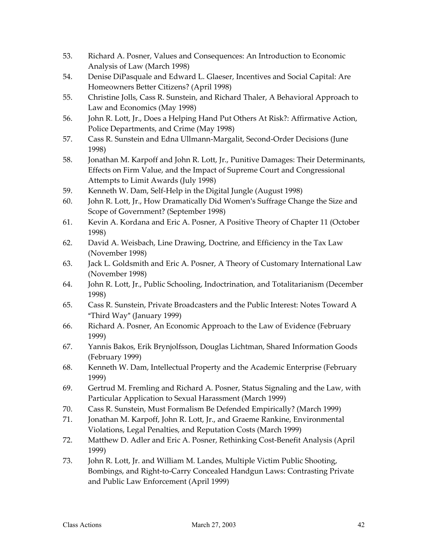- 53. Richard A. Posner, Values and Consequences: An Introduction to Economic Analysis of Law (March 1998)
- 54. Denise DiPasquale and Edward L. Glaeser, Incentives and Social Capital: Are Homeowners Better Citizens? (April 1998)
- 55. Christine Jolls, Cass R. Sunstein, and Richard Thaler, A Behavioral Approach to Law and Economics (May 1998)
- 56. John R. Lott, Jr., Does a Helping Hand Put Others At Risk?: Affirmative Action, Police Departments, and Crime (May 1998)
- 57. Cass R. Sunstein and Edna Ullmann-Margalit, Second-Order Decisions (June 1998)
- 58. Jonathan M. Karpoff and John R. Lott, Jr., Punitive Damages: Their Determinants, Effects on Firm Value, and the Impact of Supreme Court and Congressional Attempts to Limit Awards (July 1998)
- 59. Kenneth W. Dam, Self-Help in the Digital Jungle (August 1998)
- 60. John R. Lott, Jr., How Dramatically Did Women's Suffrage Change the Size and Scope of Government? (September 1998)
- 61. Kevin A. Kordana and Eric A. Posner, A Positive Theory of Chapter 11 (October 1998)
- 62. David A. Weisbach, Line Drawing, Doctrine, and Efficiency in the Tax Law (November 1998)
- 63. Jack L. Goldsmith and Eric A. Posner, A Theory of Customary International Law (November 1998)
- 64. John R. Lott, Jr., Public Schooling, Indoctrination, and Totalitarianism (December 1998)
- 65. Cass R. Sunstein, Private Broadcasters and the Public Interest: Notes Toward A "Third Way" (January 1999)
- 66. Richard A. Posner, An Economic Approach to the Law of Evidence (February 1999)
- 67. Yannis Bakos, Erik Brynjolfsson, Douglas Lichtman, Shared Information Goods (February 1999)
- 68. Kenneth W. Dam, Intellectual Property and the Academic Enterprise (February 1999)
- 69. Gertrud M. Fremling and Richard A. Posner, Status Signaling and the Law, with Particular Application to Sexual Harassment (March 1999)
- 70. Cass R. Sunstein, Must Formalism Be Defended Empirically? (March 1999)
- 71. Jonathan M. Karpoff, John R. Lott, Jr., and Graeme Rankine, Environmental Violations, Legal Penalties, and Reputation Costs (March 1999)
- 72. Matthew D. Adler and Eric A. Posner, Rethinking Cost-Benefit Analysis (April 1999)
- 73. John R. Lott, Jr. and William M. Landes, Multiple Victim Public Shooting, Bombings, and Right-to-Carry Concealed Handgun Laws: Contrasting Private and Public Law Enforcement (April 1999)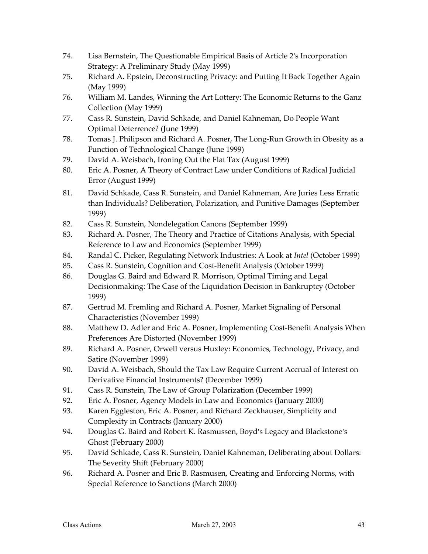- 74. Lisa Bernstein, The Questionable Empirical Basis of Article 2's Incorporation Strategy: A Preliminary Study (May 1999)
- 75. Richard A. Epstein, Deconstructing Privacy: and Putting It Back Together Again (May 1999)
- 76. William M. Landes, Winning the Art Lottery: The Economic Returns to the Ganz Collection (May 1999)
- 77. Cass R. Sunstein, David Schkade, and Daniel Kahneman, Do People Want Optimal Deterrence? (June 1999)
- 78. Tomas J. Philipson and Richard A. Posner, The Long-Run Growth in Obesity as a Function of Technological Change (June 1999)
- 79. David A. Weisbach, Ironing Out the Flat Tax (August 1999)
- 80. Eric A. Posner, A Theory of Contract Law under Conditions of Radical Judicial Error (August 1999)
- 81. David Schkade, Cass R. Sunstein, and Daniel Kahneman, Are Juries Less Erratic than Individuals? Deliberation, Polarization, and Punitive Damages (September 1999)
- 82. Cass R. Sunstein, Nondelegation Canons (September 1999)
- 83. Richard A. Posner, The Theory and Practice of Citations Analysis, with Special Reference to Law and Economics (September 1999)
- 84. Randal C. Picker, Regulating Network Industries: A Look at *Intel* (October 1999)
- 85. Cass R. Sunstein, Cognition and Cost-Benefit Analysis (October 1999)
- 86. Douglas G. Baird and Edward R. Morrison, Optimal Timing and Legal Decisionmaking: The Case of the Liquidation Decision in Bankruptcy (October 1999)
- 87. Gertrud M. Fremling and Richard A. Posner, Market Signaling of Personal Characteristics (November 1999)
- 88. Matthew D. Adler and Eric A. Posner, Implementing Cost-Benefit Analysis When Preferences Are Distorted (November 1999)
- 89. Richard A. Posner, Orwell versus Huxley: Economics, Technology, Privacy, and Satire (November 1999)
- 90. David A. Weisbach, Should the Tax Law Require Current Accrual of Interest on Derivative Financial Instruments? (December 1999)
- 91. Cass R. Sunstein, The Law of Group Polarization (December 1999)
- 92. Eric A. Posner, Agency Models in Law and Economics (January 2000)
- 93. Karen Eggleston, Eric A. Posner, and Richard Zeckhauser, Simplicity and Complexity in Contracts (January 2000)
- 94. Douglas G. Baird and Robert K. Rasmussen, Boyd's Legacy and Blackstone's Ghost (February 2000)
- 95. David Schkade, Cass R. Sunstein, Daniel Kahneman, Deliberating about Dollars: The Severity Shift (February 2000)
- 96. Richard A. Posner and Eric B. Rasmusen, Creating and Enforcing Norms, with Special Reference to Sanctions (March 2000)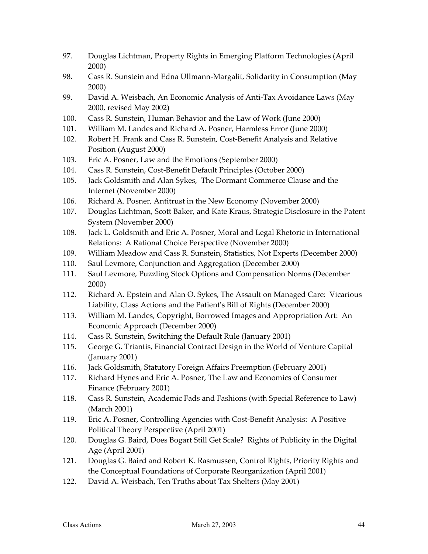- 97. Douglas Lichtman, Property Rights in Emerging Platform Technologies (April 2000)
- 98. Cass R. Sunstein and Edna Ullmann-Margalit, Solidarity in Consumption (May 2000)
- 99. David A. Weisbach, An Economic Analysis of Anti-Tax Avoidance Laws (May 2000, revised May 2002)
- 100. Cass R. Sunstein, Human Behavior and the Law of Work (June 2000)
- 101. William M. Landes and Richard A. Posner, Harmless Error (June 2000)
- 102. Robert H. Frank and Cass R. Sunstein, Cost-Benefit Analysis and Relative Position (August 2000)
- 103. Eric A. Posner, Law and the Emotions (September 2000)
- 104. Cass R. Sunstein, Cost-Benefit Default Principles (October 2000)
- 105. Jack Goldsmith and Alan Sykes, The Dormant Commerce Clause and the Internet (November 2000)
- 106. Richard A. Posner, Antitrust in the New Economy (November 2000)
- 107. Douglas Lichtman, Scott Baker, and Kate Kraus, Strategic Disclosure in the Patent System (November 2000)
- 108. Jack L. Goldsmith and Eric A. Posner, Moral and Legal Rhetoric in International Relations: A Rational Choice Perspective (November 2000)
- 109. William Meadow and Cass R. Sunstein, Statistics, Not Experts (December 2000)
- 110. Saul Levmore, Conjunction and Aggregation (December 2000)
- 111. Saul Levmore, Puzzling Stock Options and Compensation Norms (December 2000)
- 112. Richard A. Epstein and Alan O. Sykes, The Assault on Managed Care: Vicarious Liability, Class Actions and the Patient's Bill of Rights (December 2000)
- 113. William M. Landes, Copyright, Borrowed Images and Appropriation Art: An Economic Approach (December 2000)
- 114. Cass R. Sunstein, Switching the Default Rule (January 2001)
- 115. George G. Triantis, Financial Contract Design in the World of Venture Capital (January 2001)
- 116. Jack Goldsmith, Statutory Foreign Affairs Preemption (February 2001)
- 117. Richard Hynes and Eric A. Posner, The Law and Economics of Consumer Finance (February 2001)
- 118. Cass R. Sunstein, Academic Fads and Fashions (with Special Reference to Law) (March 2001)
- 119. Eric A. Posner, Controlling Agencies with Cost-Benefit Analysis: A Positive Political Theory Perspective (April 2001)
- 120. Douglas G. Baird, Does Bogart Still Get Scale? Rights of Publicity in the Digital Age (April 2001)
- 121. Douglas G. Baird and Robert K. Rasmussen, Control Rights, Priority Rights and the Conceptual Foundations of Corporate Reorganization (April 2001)
- 122. David A. Weisbach, Ten Truths about Tax Shelters (May 2001)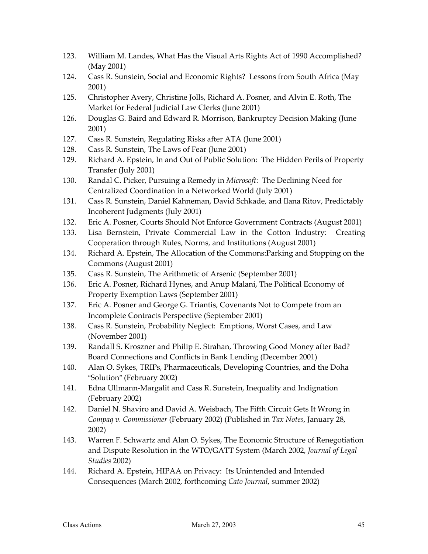- 123. William M. Landes, What Has the Visual Arts Rights Act of 1990 Accomplished? (May 2001)
- 124. Cass R. Sunstein, Social and Economic Rights? Lessons from South Africa (May 2001)
- 125. Christopher Avery, Christine Jolls, Richard A. Posner, and Alvin E. Roth, The Market for Federal Judicial Law Clerks (June 2001)
- 126. Douglas G. Baird and Edward R. Morrison, Bankruptcy Decision Making (June 2001)
- 127. Cass R. Sunstein, Regulating Risks after ATA (June 2001)
- 128. Cass R. Sunstein, The Laws of Fear (June 2001)
- 129. Richard A. Epstein, In and Out of Public Solution: The Hidden Perils of Property Transfer (July 2001)
- 130. Randal C. Picker, Pursuing a Remedy in *Microsoft*: The Declining Need for Centralized Coordination in a Networked World (July 2001)
- 131. Cass R. Sunstein, Daniel Kahneman, David Schkade, and Ilana Ritov, Predictably Incoherent Judgments (July 2001)
- 132. Eric A. Posner, Courts Should Not Enforce Government Contracts (August 2001)
- 133. Lisa Bernstein, Private Commercial Law in the Cotton Industry: Creating Cooperation through Rules, Norms, and Institutions (August 2001)
- 134. Richard A. Epstein, The Allocation of the Commons:Parking and Stopping on the Commons (August 2001)
- 135. Cass R. Sunstein, The Arithmetic of Arsenic (September 2001)
- 136. Eric A. Posner, Richard Hynes, and Anup Malani, The Political Economy of Property Exemption Laws (September 2001)
- 137. Eric A. Posner and George G. Triantis, Covenants Not to Compete from an Incomplete Contracts Perspective (September 2001)
- 138. Cass R. Sunstein, Probability Neglect: Emptions, Worst Cases, and Law (November 2001)
- 139. Randall S. Kroszner and Philip E. Strahan, Throwing Good Money after Bad? Board Connections and Conflicts in Bank Lending (December 2001)
- 140. Alan O. Sykes, TRIPs, Pharmaceuticals, Developing Countries, and the Doha "Solution" (February 2002)
- 141. Edna Ullmann-Margalit and Cass R. Sunstein, Inequality and Indignation (February 2002)
- 142. Daniel N. Shaviro and David A. Weisbach, The Fifth Circuit Gets It Wrong in *Compaq v. Commissioner* (February 2002) (Published in *Tax Notes*, January 28, 2002)
- 143. Warren F. Schwartz and Alan O. Sykes, The Economic Structure of Renegotiation and Dispute Resolution in the WTO/GATT System (March 2002, *Journal of Legal Studies* 2002)
- 144. Richard A. Epstein, HIPAA on Privacy: Its Unintended and Intended Consequences (March 2002, forthcoming *Cato Journal*, summer 2002)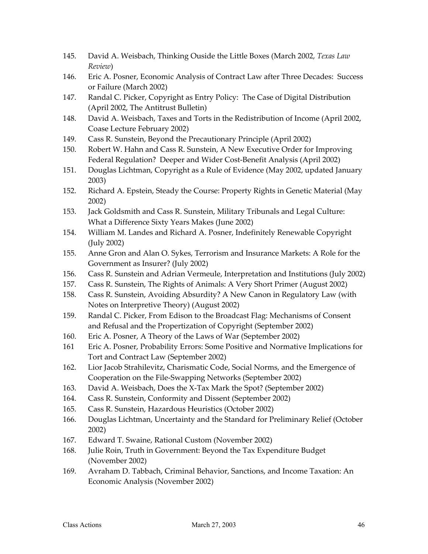- 145. David A. Weisbach, Thinking Ouside the Little Boxes (March 2002, *Texas Law Review*)
- 146. Eric A. Posner, Economic Analysis of Contract Law after Three Decades: Success or Failure (March 2002)
- 147. Randal C. Picker, Copyright as Entry Policy: The Case of Digital Distribution (April 2002, The Antitrust Bulletin)
- 148. David A. Weisbach, Taxes and Torts in the Redistribution of Income (April 2002, Coase Lecture February 2002)
- 149. Cass R. Sunstein, Beyond the Precautionary Principle (April 2002)
- 150. Robert W. Hahn and Cass R. Sunstein, A New Executive Order for Improving Federal Regulation? Deeper and Wider Cost-Benefit Analysis (April 2002)
- 151. Douglas Lichtman, Copyright as a Rule of Evidence (May 2002, updated January 2003)
- 152. Richard A. Epstein, Steady the Course: Property Rights in Genetic Material (May 2002)
- 153. Jack Goldsmith and Cass R. Sunstein, Military Tribunals and Legal Culture: What a Difference Sixty Years Makes (June 2002)
- 154. William M. Landes and Richard A. Posner, Indefinitely Renewable Copyright (July 2002)
- 155. Anne Gron and Alan O. Sykes, Terrorism and Insurance Markets: A Role for the Government as Insurer? (July 2002)
- 156. Cass R. Sunstein and Adrian Vermeule, Interpretation and Institutions (July 2002)
- 157. Cass R. Sunstein, The Rights of Animals: A Very Short Primer (August 2002)
- 158. Cass R. Sunstein, Avoiding Absurdity? A New Canon in Regulatory Law (with Notes on Interpretive Theory) (August 2002)
- 159. Randal C. Picker, From Edison to the Broadcast Flag: Mechanisms of Consent and Refusal and the Propertization of Copyright (September 2002)
- 160. Eric A. Posner, A Theory of the Laws of War (September 2002)
- 161 Eric A. Posner, Probability Errors: Some Positive and Normative Implications for Tort and Contract Law (September 2002)
- 162. Lior Jacob Strahilevitz, Charismatic Code, Social Norms, and the Emergence of Cooperation on the File-Swapping Networks (September 2002)
- 163. David A. Weisbach, Does the X-Tax Mark the Spot? (September 2002)
- 164. Cass R. Sunstein, Conformity and Dissent (September 2002)
- 165. Cass R. Sunstein, Hazardous Heuristics (October 2002)
- 166. Douglas Lichtman, Uncertainty and the Standard for Preliminary Relief (October 2002)
- 167. Edward T. Swaine, Rational Custom (November 2002)
- 168. Julie Roin, Truth in Government: Beyond the Tax Expenditure Budget (November 2002)
- 169. Avraham D. Tabbach, Criminal Behavior, Sanctions, and Income Taxation: An Economic Analysis (November 2002)